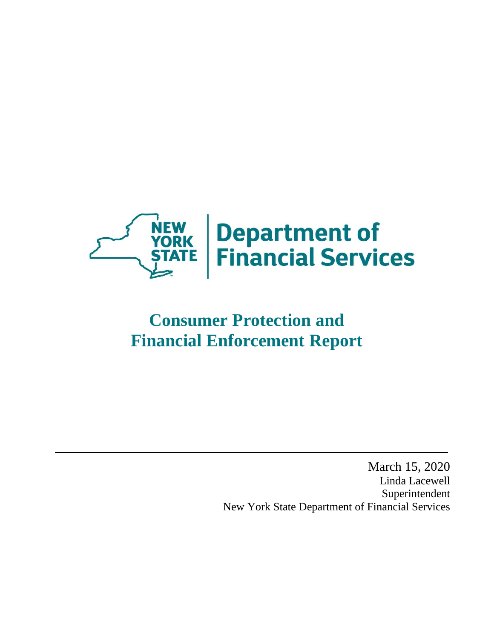

# **Consumer Protection and Financial Enforcement Report**

March 15, 2020 Linda Lacewell Superintendent New York State Department of Financial Services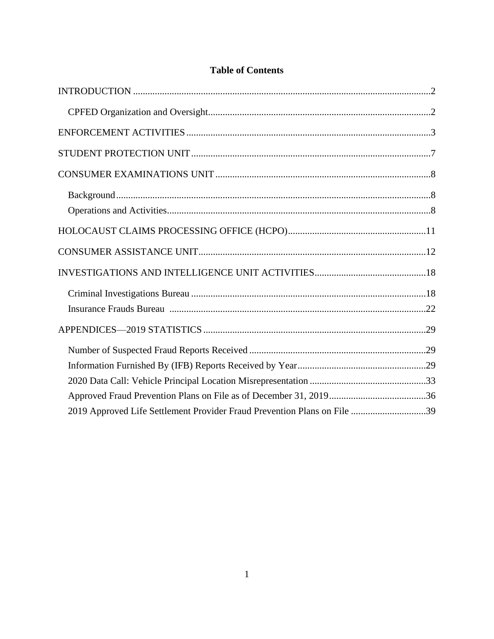<span id="page-1-0"></span>

| 2019 Approved Life Settlement Provider Fraud Prevention Plans on File 39 |  |
|--------------------------------------------------------------------------|--|

# **Table of Contents**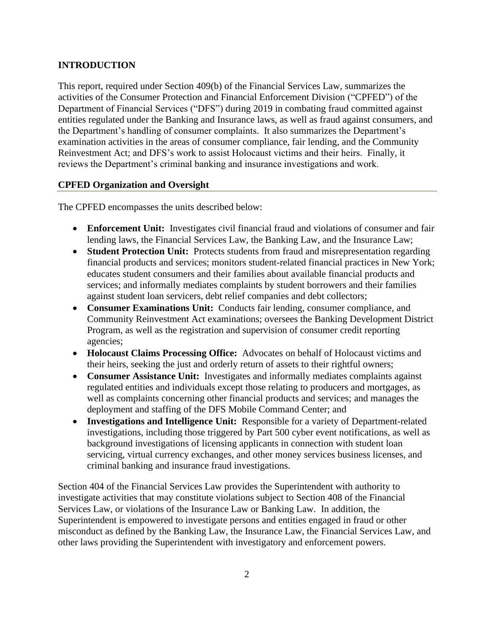# **INTRODUCTION**

This report, required under Section 409(b) of the Financial Services Law, summarizes the activities of the Consumer Protection and Financial Enforcement Division ("CPFED") of the Department of Financial Services ("DFS") during 2019 in combating fraud committed against entities regulated under the Banking and Insurance laws, as well as fraud against consumers, and the Department's handling of consumer complaints. It also summarizes the Department's examination activities in the areas of consumer compliance, fair lending, and the Community Reinvestment Act; and DFS's work to assist Holocaust victims and their heirs. Finally, it reviews the Department's criminal banking and insurance investigations and work.

# <span id="page-2-0"></span>**CPFED Organization and Oversight**

The CPFED encompasses the units described below:

- **Enforcement Unit:** Investigates civil financial fraud and violations of consumer and fair lending laws, the Financial Services Law, the Banking Law, and the Insurance Law;
- **Student Protection Unit:** Protects students from fraud and misrepresentation regarding financial products and services; monitors student-related financial practices in New York; educates student consumers and their families about available financial products and services; and informally mediates complaints by student borrowers and their families against student loan servicers, debt relief companies and debt collectors;
- **Consumer Examinations Unit:** Conducts fair lending, consumer compliance, and Community Reinvestment Act examinations; oversees the Banking Development District Program, as well as the registration and supervision of consumer credit reporting agencies;
- **Holocaust Claims Processing Office:** Advocates on behalf of Holocaust victims and their heirs, seeking the just and orderly return of assets to their rightful owners;
- **Consumer Assistance Unit:** Investigates and informally mediates complaints against regulated entities and individuals except those relating to producers and mortgages, as well as complaints concerning other financial products and services; and manages the deployment and staffing of the DFS Mobile Command Center; and
- **Investigations and Intelligence Unit:** Responsible for a variety of Department-related investigations, including those triggered by Part 500 cyber event notifications, as well as background investigations of licensing applicants in connection with student loan servicing, virtual currency exchanges, and other money services business licenses, and criminal banking and insurance fraud investigations.

Section 404 of the Financial Services Law provides the Superintendent with authority to investigate activities that may constitute violations subject to Section 408 of the Financial Services Law, or violations of the Insurance Law or Banking Law. In addition, the Superintendent is empowered to investigate persons and entities engaged in fraud or other misconduct as defined by the Banking Law, the Insurance Law, the Financial Services Law, and other laws providing the Superintendent with investigatory and enforcement powers.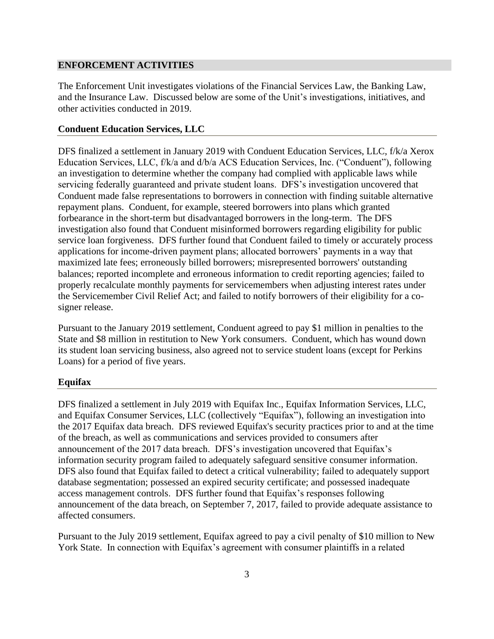## <span id="page-3-0"></span>**ENFORCEMENT ACTIVITIES**

The Enforcement Unit investigates violations of the Financial Services Law, the Banking Law, and the Insurance Law. Discussed below are some of the Unit's investigations, initiatives, and other activities conducted in 2019.

#### **Conduent Education Services, LLC**

DFS finalized a settlement in January 2019 with Conduent Education Services, LLC, f/k/a Xerox Education Services, LLC, f/k/a and d/b/a ACS Education Services, Inc. ("Conduent"), following an investigation to determine whether the company had complied with applicable laws while servicing federally guaranteed and private student loans. DFS's investigation uncovered that Conduent made false representations to borrowers in connection with finding suitable alternative repayment plans. Conduent, for example, steered borrowers into plans which granted forbearance in the short-term but disadvantaged borrowers in the long-term. The DFS investigation also found that Conduent misinformed borrowers regarding eligibility for public service loan forgiveness. DFS further found that Conduent failed to timely or accurately process applications for income-driven payment plans; allocated borrowers' payments in a way that maximized late fees; erroneously billed borrowers; misrepresented borrowers' outstanding balances; reported incomplete and erroneous information to credit reporting agencies; failed to properly recalculate monthly payments for servicemembers when adjusting interest rates under the Servicemember Civil Relief Act; and failed to notify borrowers of their eligibility for a cosigner release.

Pursuant to the January 2019 settlement, Conduent agreed to pay \$1 million in penalties to the State and \$8 million in restitution to New York consumers. Conduent, which has wound down its student loan servicing business, also agreed not to service student loans (except for Perkins Loans) for a period of five years.

#### **Equifax**

DFS finalized a settlement in July 2019 with Equifax Inc., Equifax Information Services, LLC, and Equifax Consumer Services, LLC (collectively "Equifax"), following an investigation into the 2017 Equifax data breach. DFS reviewed Equifax's security practices prior to and at the time of the breach, as well as communications and services provided to consumers after announcement of the 2017 data breach. DFS's investigation uncovered that Equifax's information security program failed to adequately safeguard sensitive consumer information. DFS also found that Equifax failed to detect a critical vulnerability; failed to adequately support database segmentation; possessed an expired security certificate; and possessed inadequate access management controls. DFS further found that Equifax's responses following announcement of the data breach, on September 7, 2017, failed to provide adequate assistance to affected consumers.

Pursuant to the July 2019 settlement, Equifax agreed to pay a civil penalty of \$10 million to New York State. In connection with Equifax's agreement with consumer plaintiffs in a related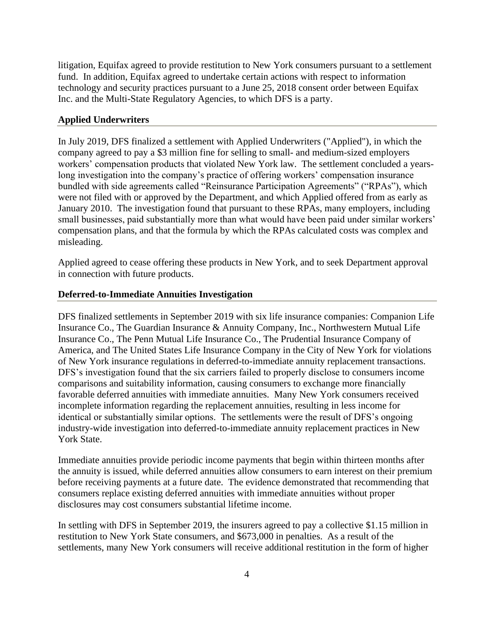litigation, Equifax agreed to provide restitution to New York consumers pursuant to a settlement fund. In addition, Equifax agreed to undertake certain actions with respect to information technology and security practices pursuant to a June 25, 2018 consent order between Equifax Inc. and the Multi-State Regulatory Agencies, to which DFS is a party.

# **Applied Underwriters**

In July 2019, DFS finalized a settlement with Applied Underwriters ("Applied"), in which the company agreed to pay a \$3 million fine for selling to small- and medium-sized employers workers' compensation products that violated New York law. The settlement concluded a yearslong investigation into the company's practice of offering workers' compensation insurance bundled with side agreements called "Reinsurance Participation Agreements" ("RPAs"), which were not filed with or approved by the Department, and which Applied offered from as early as January 2010. The investigation found that pursuant to these RPAs, many employers, including small businesses, paid substantially more than what would have been paid under similar workers' compensation plans, and that the formula by which the RPAs calculated costs was complex and misleading.

Applied agreed to cease offering these products in New York, and to seek Department approval in connection with future products.

# **Deferred-to-Immediate Annuities Investigation**

DFS finalized settlements in September 2019 with six life insurance companies: Companion Life Insurance Co., The Guardian Insurance & Annuity Company, Inc., Northwestern Mutual Life Insurance Co., The Penn Mutual Life Insurance Co., The Prudential Insurance Company of America, and The United States Life Insurance Company in the City of New York for violations of New York insurance regulations in deferred-to-immediate annuity replacement transactions. DFS's investigation found that the six carriers failed to properly disclose to consumers income comparisons and suitability information, causing consumers to exchange more financially favorable deferred annuities with immediate annuities. Many New York consumers received incomplete information regarding the replacement annuities, resulting in less income for identical or substantially similar options. The settlements were the result of DFS's ongoing industry-wide investigation into deferred-to-immediate annuity replacement practices in New York State.

Immediate annuities provide periodic income payments that begin within thirteen months after the annuity is issued, while deferred annuities allow consumers to earn interest on their premium before receiving payments at a future date. The evidence demonstrated that recommending that consumers replace existing deferred annuities with immediate annuities without proper disclosures may cost consumers substantial lifetime income.

In settling with DFS in September 2019, the insurers agreed to pay a collective \$1.15 million in restitution to New York State consumers, and \$673,000 in penalties. As a result of the settlements, many New York consumers will receive additional restitution in the form of higher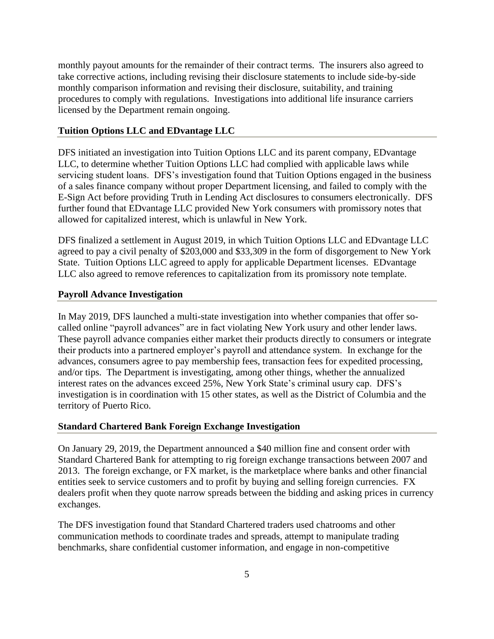monthly payout amounts for the remainder of their contract terms. The insurers also agreed to take corrective actions, including revising their disclosure statements to include side-by-side monthly comparison information and revising their disclosure, suitability, and training procedures to comply with regulations. Investigations into additional life insurance carriers licensed by the Department remain ongoing.

## **Tuition Options LLC and EDvantage LLC**

DFS initiated an investigation into Tuition Options LLC and its parent company, EDvantage LLC, to determine whether Tuition Options LLC had complied with applicable laws while servicing student loans. DFS's investigation found that Tuition Options engaged in the business of a sales finance company without proper Department licensing, and failed to comply with the E-Sign Act before providing Truth in Lending Act disclosures to consumers electronically. DFS further found that EDvantage LLC provided New York consumers with promissory notes that allowed for capitalized interest, which is unlawful in New York.

DFS finalized a settlement in August 2019, in which Tuition Options LLC and EDvantage LLC agreed to pay a civil penalty of \$203,000 and \$33,309 in the form of disgorgement to New York State. Tuition Options LLC agreed to apply for applicable Department licenses. EDvantage LLC also agreed to remove references to capitalization from its promissory note template.

## **Payroll Advance Investigation**

In May 2019, DFS launched a multi-state investigation into whether companies that offer socalled online "payroll advances" are in fact violating New York usury and other lender laws. These payroll advance companies either market their products directly to consumers or integrate their products into a partnered employer's payroll and attendance system. In exchange for the advances, consumers agree to pay membership fees, transaction fees for expedited processing, and/or tips. The Department is investigating, among other things, whether the annualized interest rates on the advances exceed 25%, New York State's criminal usury cap. DFS's investigation is in coordination with 15 other states, as well as the District of Columbia and the territory of Puerto Rico.

## **Standard Chartered Bank Foreign Exchange Investigation**

On January 29, 2019, the Department announced a \$40 million fine and consent order with Standard Chartered Bank for attempting to rig foreign exchange transactions between 2007 and 2013. The foreign exchange, or FX market, is the marketplace where banks and other financial entities seek to service customers and to profit by buying and selling foreign currencies. FX dealers profit when they quote narrow spreads between the bidding and asking prices in currency exchanges.

The DFS investigation found that Standard Chartered traders used chatrooms and other communication methods to coordinate trades and spreads, attempt to manipulate trading benchmarks, share confidential customer information, and engage in non-competitive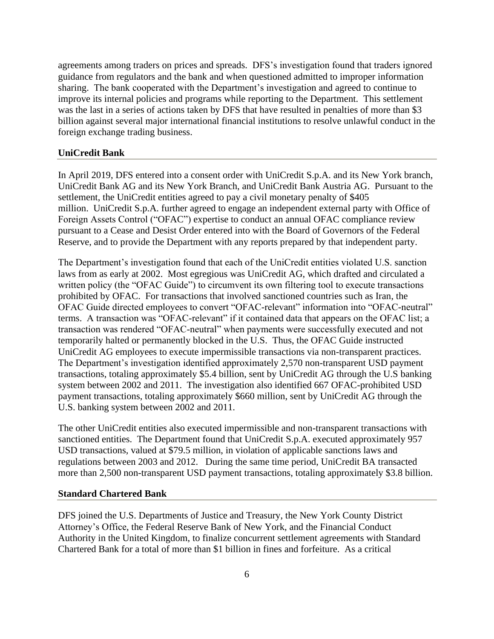agreements among traders on prices and spreads. DFS's investigation found that traders ignored guidance from regulators and the bank and when questioned admitted to improper information sharing. The bank cooperated with the Department's investigation and agreed to continue to improve its internal policies and programs while reporting to the Department. This settlement was the last in a series of actions taken by DFS that have resulted in penalties of more than \$3 billion against several major international financial institutions to resolve unlawful conduct in the foreign exchange trading business.

#### **UniCredit Bank**

In April 2019, DFS entered into a consent order with UniCredit S.p.A. and its New York branch, UniCredit Bank AG and its New York Branch, and UniCredit Bank Austria AG. Pursuant to the settlement, the UniCredit entities agreed to pay a civil monetary penalty of \$405 million. UniCredit S.p.A. further agreed to engage an independent external party with Office of Foreign Assets Control ("OFAC") expertise to conduct an annual OFAC compliance review pursuant to a Cease and Desist Order entered into with the Board of Governors of the Federal Reserve, and to provide the Department with any reports prepared by that independent party.

The Department's investigation found that each of the UniCredit entities violated U.S. sanction laws from as early at 2002. Most egregious was UniCredit AG, which drafted and circulated a written policy (the "OFAC Guide") to circumvent its own filtering tool to execute transactions prohibited by OFAC. For transactions that involved sanctioned countries such as Iran, the OFAC Guide directed employees to convert "OFAC-relevant" information into "OFAC-neutral" terms. A transaction was "OFAC-relevant" if it contained data that appears on the OFAC list; a transaction was rendered "OFAC-neutral" when payments were successfully executed and not temporarily halted or permanently blocked in the U.S. Thus, the OFAC Guide instructed UniCredit AG employees to execute impermissible transactions via non-transparent practices. The Department's investigation identified approximately 2,570 non-transparent USD payment transactions, totaling approximately \$5.4 billion, sent by UniCredit AG through the U.S banking system between 2002 and 2011. The investigation also identified 667 OFAC-prohibited USD payment transactions, totaling approximately \$660 million, sent by UniCredit AG through the U.S. banking system between 2002 and 2011.

The other UniCredit entities also executed impermissible and non-transparent transactions with sanctioned entities. The Department found that UniCredit S.p.A. executed approximately 957 USD transactions, valued at \$79.5 million, in violation of applicable sanctions laws and regulations between 2003 and 2012. During the same time period, UniCredit BA transacted more than 2,500 non-transparent USD payment transactions, totaling approximately \$3.8 billion.

#### **Standard Chartered Bank**

DFS joined the U.S. Departments of Justice and Treasury, the New York County District Attorney's Office, the Federal Reserve Bank of New York, and the Financial Conduct Authority in the United Kingdom, to finalize concurrent settlement agreements with Standard Chartered Bank for a total of more than \$1 billion in fines and forfeiture. As a critical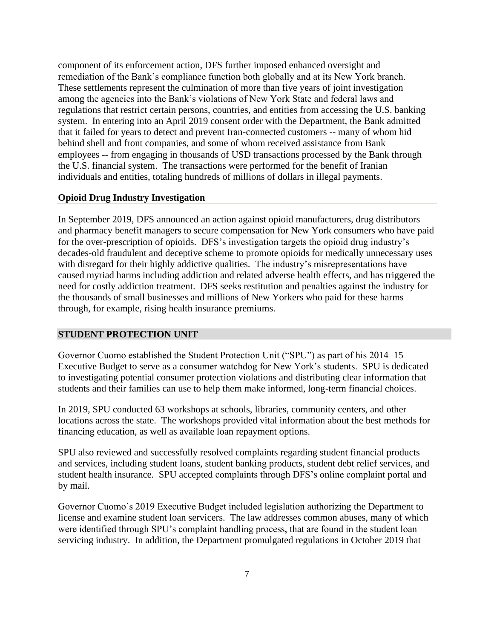component of its enforcement action, DFS further imposed enhanced oversight and remediation of the Bank's compliance function both globally and at its New York branch. These settlements represent the culmination of more than five years of joint investigation among the agencies into the Bank's violations of New York State and federal laws and regulations that restrict certain persons, countries, and entities from accessing the U.S. banking system. In entering into an April 2019 consent order with the Department, the Bank admitted that it failed for years to detect and prevent Iran-connected customers -- many of whom hid behind shell and front companies, and some of whom received assistance from Bank employees -- from engaging in thousands of USD transactions processed by the Bank through the U.S. financial system. The transactions were performed for the benefit of Iranian individuals and entities, totaling hundreds of millions of dollars in illegal payments.

#### **Opioid Drug Industry Investigation**

In September 2019, DFS announced an action against opioid manufacturers, drug distributors and pharmacy benefit managers to secure compensation for New York consumers who have paid for the over-prescription of opioids. DFS's investigation targets the opioid drug industry's decades-old fraudulent and deceptive scheme to promote opioids for medically unnecessary uses with disregard for their highly addictive qualities. The industry's misrepresentations have caused myriad harms including addiction and related adverse health effects, and has triggered the need for costly addiction treatment. DFS seeks restitution and penalties against the industry for the thousands of small businesses and millions of New Yorkers who paid for these harms through, for example, rising health insurance premiums.

#### <span id="page-7-0"></span>**STUDENT PROTECTION UNIT**

Governor Cuomo established the Student Protection Unit ("SPU") as part of his 2014–15 Executive Budget to serve as a consumer watchdog for New York's students. SPU is dedicated to investigating potential consumer protection violations and distributing clear information that students and their families can use to help them make informed, long-term financial choices.

In 2019, SPU conducted 63 workshops at schools, libraries, community centers, and other locations across the state. The workshops provided vital information about the best methods for financing education, as well as available loan repayment options.

SPU also reviewed and successfully resolved complaints regarding student financial products and services, including student loans, student banking products, student debt relief services, and student health insurance. SPU accepted complaints through DFS's online complaint portal and by mail.

Governor Cuomo's 2019 Executive Budget included legislation authorizing the Department to license and examine student loan servicers. The law addresses common abuses, many of which were identified through SPU's complaint handling process, that are found in the student loan servicing industry. In addition, the Department promulgated regulations in October 2019 that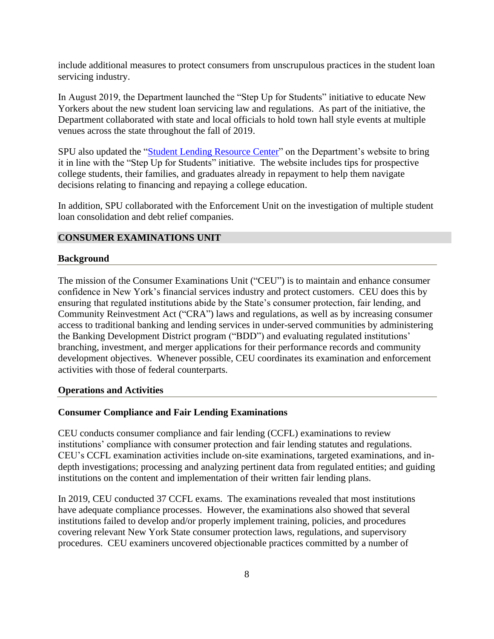include additional measures to protect consumers from unscrupulous practices in the student loan servicing industry.

In August 2019, the Department launched the "Step Up for Students" initiative to educate New Yorkers about the new student loan servicing law and regulations. As part of the initiative, the Department collaborated with state and local officials to hold town hall style events at multiple venues across the state throughout the fall of 2019.

SPU also updated the ["Student Lending Resource Center"](https://www.dfs.ny.gov/consumers/student_protection) on the Department's website to bring it in line with the "Step Up for Students" initiative. The website includes tips for prospective college students, their families, and graduates already in repayment to help them navigate decisions relating to financing and repaying a college education.

In addition, SPU collaborated with the Enforcement Unit on the investigation of multiple student loan consolidation and debt relief companies.

# <span id="page-8-0"></span>**CONSUMER EXAMINATIONS UNIT**

#### <span id="page-8-1"></span>**Background**

The mission of the Consumer Examinations Unit ("CEU") is to maintain and enhance consumer confidence in New York's financial services industry and protect customers. CEU does this by ensuring that regulated institutions abide by the State's consumer protection, fair lending, and Community Reinvestment Act ("CRA") laws and regulations, as well as by increasing consumer access to traditional banking and lending services in under-served communities by administering the Banking Development District program ("BDD") and evaluating regulated institutions' branching, investment, and merger applications for their performance records and community development objectives. Whenever possible, CEU coordinates its examination and enforcement activities with those of federal counterparts.

#### <span id="page-8-2"></span>**Operations and Activities**

#### **Consumer Compliance and Fair Lending Examinations**

CEU conducts consumer compliance and fair lending (CCFL) examinations to review institutions' compliance with consumer protection and fair lending statutes and regulations. CEU's CCFL examination activities include on-site examinations, targeted examinations, and indepth investigations; processing and analyzing pertinent data from regulated entities; and guiding institutions on the content and implementation of their written fair lending plans.

In 2019, CEU conducted 37 CCFL exams. The examinations revealed that most institutions have adequate compliance processes. However, the examinations also showed that several institutions failed to develop and/or properly implement training, policies, and procedures covering relevant New York State consumer protection laws, regulations, and supervisory procedures. CEU examiners uncovered objectionable practices committed by a number of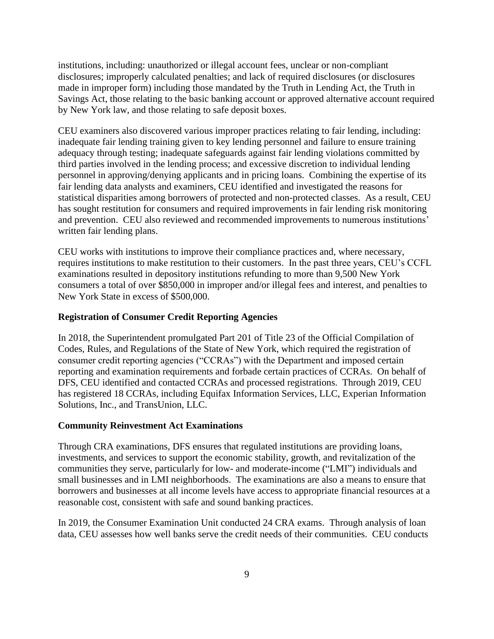institutions, including: unauthorized or illegal account fees, unclear or non-compliant disclosures; improperly calculated penalties; and lack of required disclosures (or disclosures made in improper form) including those mandated by the Truth in Lending Act, the Truth in Savings Act, those relating to the basic banking account or approved alternative account required by New York law, and those relating to safe deposit boxes.

CEU examiners also discovered various improper practices relating to fair lending, including: inadequate fair lending training given to key lending personnel and failure to ensure training adequacy through testing; inadequate safeguards against fair lending violations committed by third parties involved in the lending process; and excessive discretion to individual lending personnel in approving/denying applicants and in pricing loans. Combining the expertise of its fair lending data analysts and examiners, CEU identified and investigated the reasons for statistical disparities among borrowers of protected and non-protected classes. As a result, CEU has sought restitution for consumers and required improvements in fair lending risk monitoring and prevention. CEU also reviewed and recommended improvements to numerous institutions' written fair lending plans.

CEU works with institutions to improve their compliance practices and, where necessary, requires institutions to make restitution to their customers. In the past three years, CEU's CCFL examinations resulted in depository institutions refunding to more than 9,500 New York consumers a total of over \$850,000 in improper and/or illegal fees and interest, and penalties to New York State in excess of \$500,000.

## **Registration of Consumer Credit Reporting Agencies**

In 2018, the Superintendent promulgated Part 201 of Title 23 of the Official Compilation of Codes, Rules, and Regulations of the State of New York, which required the registration of consumer credit reporting agencies ("CCRAs") with the Department and imposed certain reporting and examination requirements and forbade certain practices of CCRAs. On behalf of DFS, CEU identified and contacted CCRAs and processed registrations. Through 2019, CEU has registered 18 CCRAs, including Equifax Information Services, LLC, Experian Information Solutions, Inc., and TransUnion, LLC.

## **Community Reinvestment Act Examinations**

Through CRA examinations, DFS ensures that regulated institutions are providing loans, investments, and services to support the economic stability, growth, and revitalization of the communities they serve, particularly for low- and moderate-income ("LMI") individuals and small businesses and in LMI neighborhoods. The examinations are also a means to ensure that borrowers and businesses at all income levels have access to appropriate financial resources at a reasonable cost, consistent with safe and sound banking practices.

In 2019, the Consumer Examination Unit conducted 24 CRA exams. Through analysis of loan data, CEU assesses how well banks serve the credit needs of their communities. CEU conducts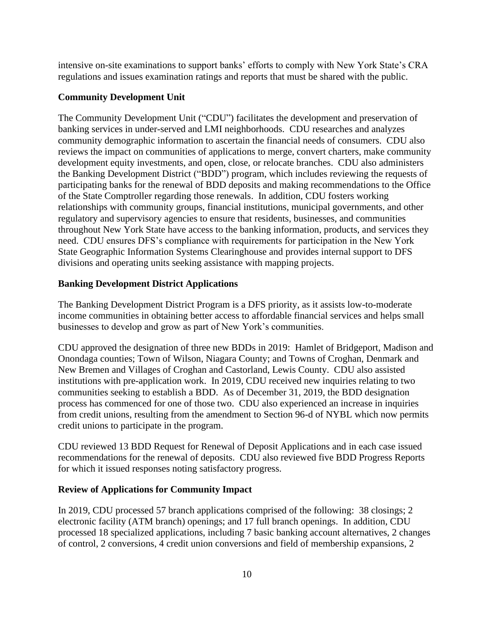intensive on-site examinations to support banks' efforts to comply with New York State's CRA regulations and issues examination ratings and reports that must be shared with the public.

# **Community Development Unit**

The Community Development Unit ("CDU") facilitates the development and preservation of banking services in under-served and LMI neighborhoods. CDU researches and analyzes community demographic information to ascertain the financial needs of consumers. CDU also reviews the impact on communities of applications to merge, convert charters, make community development equity investments, and open, close, or relocate branches. CDU also administers the Banking Development District ("BDD") program, which includes reviewing the requests of participating banks for the renewal of BDD deposits and making recommendations to the Office of the State Comptroller regarding those renewals. In addition, CDU fosters working relationships with community groups, financial institutions, municipal governments, and other regulatory and supervisory agencies to ensure that residents, businesses, and communities throughout New York State have access to the banking information, products, and services they need. CDU ensures DFS's compliance with requirements for participation in the New York State Geographic Information Systems Clearinghouse and provides internal support to DFS divisions and operating units seeking assistance with mapping projects.

## **Banking Development District Applications**

The Banking Development District Program is a DFS priority, as it assists low-to-moderate income communities in obtaining better access to affordable financial services and helps small businesses to develop and grow as part of New York's communities.

CDU approved the designation of three new BDDs in 2019: Hamlet of Bridgeport, Madison and Onondaga counties; Town of Wilson, Niagara County; and Towns of Croghan, Denmark and New Bremen and Villages of Croghan and Castorland, Lewis County. CDU also assisted institutions with pre-application work. In 2019, CDU received new inquiries relating to two communities seeking to establish a BDD. As of December 31, 2019, the BDD designation process has commenced for one of those two. CDU also experienced an increase in inquiries from credit unions, resulting from the amendment to Section 96-d of NYBL which now permits credit unions to participate in the program.

CDU reviewed 13 BDD Request for Renewal of Deposit Applications and in each case issued recommendations for the renewal of deposits. CDU also reviewed five BDD Progress Reports for which it issued responses noting satisfactory progress.

## **Review of Applications for Community Impact**

In 2019, CDU processed 57 branch applications comprised of the following: 38 closings; 2 electronic facility (ATM branch) openings; and 17 full branch openings. In addition, CDU processed 18 specialized applications, including 7 basic banking account alternatives, 2 changes of control, 2 conversions, 4 credit union conversions and field of membership expansions, 2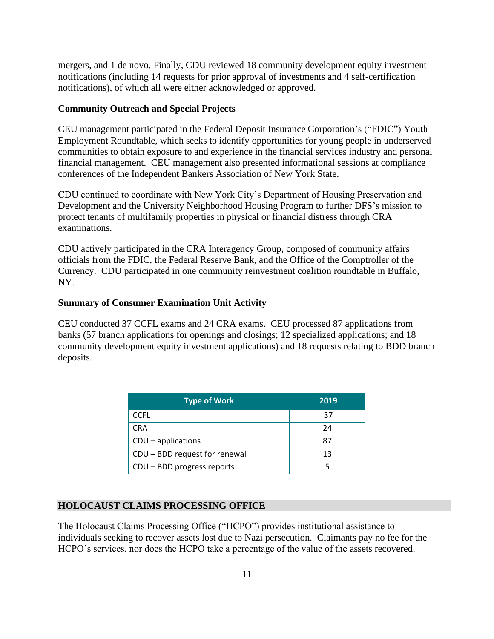mergers, and 1 de novo. Finally, CDU reviewed 18 community development equity investment notifications (including 14 requests for prior approval of investments and 4 self-certification notifications), of which all were either acknowledged or approved.

## **Community Outreach and Special Projects**

CEU management participated in the Federal Deposit Insurance Corporation's ("FDIC") Youth Employment Roundtable, which seeks to identify opportunities for young people in underserved communities to obtain exposure to and experience in the financial services industry and personal financial management. CEU management also presented informational sessions at compliance conferences of the Independent Bankers Association of New York State.

CDU continued to coordinate with New York City's Department of Housing Preservation and Development and the University Neighborhood Housing Program to further DFS's mission to protect tenants of multifamily properties in physical or financial distress through CRA examinations.

CDU actively participated in the CRA Interagency Group, composed of community affairs officials from the FDIC, the Federal Reserve Bank, and the Office of the Comptroller of the Currency. CDU participated in one community reinvestment coalition roundtable in Buffalo, NY.

## **Summary of Consumer Examination Unit Activity**

CEU conducted 37 CCFL exams and 24 CRA exams. CEU processed 87 applications from banks (57 branch applications for openings and closings; 12 specialized applications; and 18 community development equity investment applications) and 18 requests relating to BDD branch deposits.

| <b>Type of Work</b>           | 2019 |
|-------------------------------|------|
| <b>CCFL</b>                   | 37   |
| <b>CRA</b>                    | 24   |
| $CDU$ – applications          | 87   |
| CDU - BDD request for renewal | 13   |
| CDU - BDD progress reports    |      |

# <span id="page-11-0"></span>**HOLOCAUST CLAIMS PROCESSING OFFICE**

The Holocaust Claims Processing Office ("HCPO") provides institutional assistance to individuals seeking to recover assets lost due to Nazi persecution. Claimants pay no fee for the HCPO's services, nor does the HCPO take a percentage of the value of the assets recovered.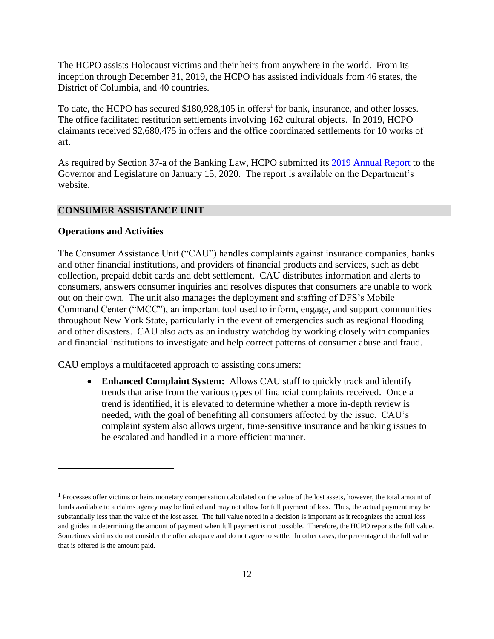The HCPO assists Holocaust victims and their heirs from anywhere in the world. From its inception through December 31, 2019, the HCPO has assisted individuals from 46 states, the District of Columbia, and 40 countries.

To date, the HCPO has secured  $$180,928,105$  in offers<sup>1</sup> for bank, insurance, and other losses. The office facilitated restitution settlements involving 162 cultural objects. In 2019, HCPO claimants received \$2,680,475 in offers and the office coordinated settlements for 10 works of art.

As required by Section 37-a of the Banking Law, HCPO submitted its [2019 Annual Report](https://www.dfs.ny.gov/system/files/documents/2020/01/hcporeport19.pdf) to the Governor and Legislature on January 15, 2020. The report is available on the Department's website.

# <span id="page-12-0"></span>**CONSUMER ASSISTANCE UNIT**

#### **Operations and Activities**

The Consumer Assistance Unit ("CAU") handles complaints against insurance companies, banks and other financial institutions, and providers of financial products and services, such as debt collection, prepaid debit cards and debt settlement. CAU distributes information and alerts to consumers, answers consumer inquiries and resolves disputes that consumers are unable to work out on their own. The unit also manages the deployment and staffing of DFS's Mobile Command Center ("MCC"), an important tool used to inform, engage, and support communities throughout New York State, particularly in the event of emergencies such as regional flooding and other disasters. CAU also acts as an industry watchdog by working closely with companies and financial institutions to investigate and help correct patterns of consumer abuse and fraud.

CAU employs a multifaceted approach to assisting consumers:

• **Enhanced Complaint System:** Allows CAU staff to quickly track and identify trends that arise from the various types of financial complaints received. Once a trend is identified, it is elevated to determine whether a more in-depth review is needed, with the goal of benefiting all consumers affected by the issue. CAU's complaint system also allows urgent, time-sensitive insurance and banking issues to be escalated and handled in a more efficient manner.

<sup>&</sup>lt;sup>1</sup> Processes offer victims or heirs monetary compensation calculated on the value of the lost assets, however, the total amount of funds available to a claims agency may be limited and may not allow for full payment of loss. Thus, the actual payment may be substantially less than the value of the lost asset. The full value noted in a decision is important as it recognizes the actual loss and guides in determining the amount of payment when full payment is not possible. Therefore, the HCPO reports the full value. Sometimes victims do not consider the offer adequate and do not agree to settle. In other cases, the percentage of the full value that is offered is the amount paid.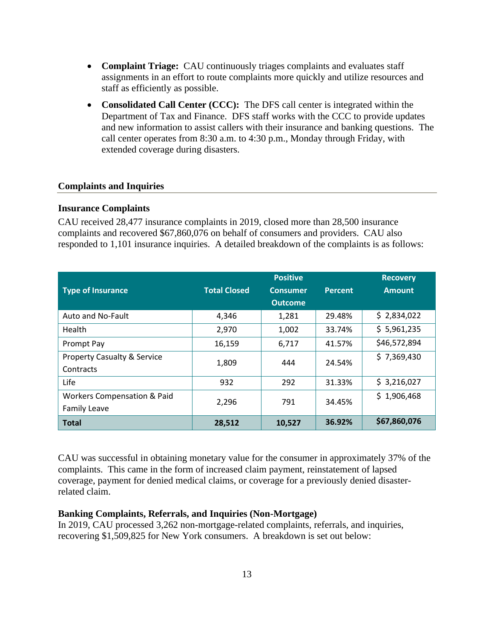- **Complaint Triage:** CAU continuously triages complaints and evaluates staff assignments in an effort to route complaints more quickly and utilize resources and staff as efficiently as possible.
- **Consolidated Call Center (CCC):** The DFS call center is integrated within the Department of Tax and Finance. DFS staff works with the CCC to provide updates and new information to assist callers with their insurance and banking questions. The call center operates from 8:30 a.m. to 4:30 p.m., Monday through Friday, with extended coverage during disasters.

#### **Complaints and Inquiries**

# **Insurance Complaints**

CAU received 28,477 insurance complaints in 2019, closed more than 28,500 insurance complaints and recovered \$67,860,076 on behalf of consumers and providers. CAU also responded to 1,101 insurance inquiries. A detailed breakdown of the complaints is as follows:

|                                        |                     | <b>Positive</b> |                | <b>Recovery</b> |
|----------------------------------------|---------------------|-----------------|----------------|-----------------|
| <b>Type of Insurance</b>               | <b>Total Closed</b> | <b>Consumer</b> | <b>Percent</b> | <b>Amount</b>   |
|                                        |                     | <b>Outcome</b>  |                |                 |
| Auto and No-Fault                      | 4,346               | 1,281           | 29.48%         | \$2,834,022     |
| Health                                 | 2,970               | 1,002           | 33.74%         | \$5,961,235     |
| Prompt Pay                             | 16,159              | 6,717           | 41.57%         | \$46,572,894    |
| <b>Property Casualty &amp; Service</b> | 1,809               | 444             | 24.54%         | \$7,369,430     |
| Contracts                              |                     |                 |                |                 |
| Life                                   | 932                 | 292             | 31.33%         | \$3,216,027     |
| <b>Workers Compensation &amp; Paid</b> | 2,296               | 791             | 34.45%         | \$1,906,468     |
| <b>Family Leave</b>                    |                     |                 |                |                 |
| <b>Total</b>                           | 28,512              | 10,527          | 36.92%         | \$67,860,076    |

CAU was successful in obtaining monetary value for the consumer in approximately 37% of the complaints. This came in the form of increased claim payment, reinstatement of lapsed coverage, payment for denied medical claims, or coverage for a previously denied disasterrelated claim.

# **Banking Complaints, Referrals, and Inquiries (Non-Mortgage)**

In 2019, CAU processed 3,262 non-mortgage-related complaints, referrals, and inquiries, recovering \$1,509,825 for New York consumers. A breakdown is set out below: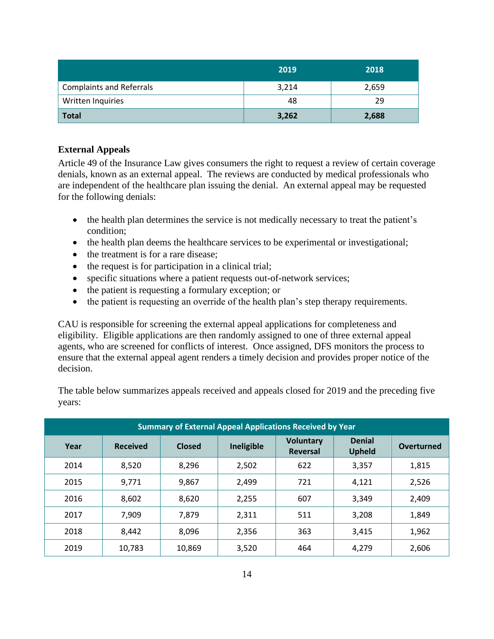|                                 | 2019  | 2018  |
|---------------------------------|-------|-------|
| <b>Complaints and Referrals</b> | 3,214 | 2,659 |
| Written Inquiries               | 48    | 29    |
| <b>Total</b>                    | 3,262 | 2,688 |

# **External Appeals**

Article 49 of the Insurance Law gives consumers the right to request a review of certain coverage denials, known as an external appeal. The reviews are conducted by medical professionals who are independent of the healthcare plan issuing the denial. An external appeal may be requested for the following denials:

- the health plan determines the service is not medically necessary to treat the patient's condition;
- the health plan deems the healthcare services to be experimental or investigational;
- the treatment is for a rare disease;
- the request is for participation in a clinical trial;
- specific situations where a patient requests out-of-network services;
- the patient is requesting a formulary exception; or
- the patient is requesting an override of the health plan's step therapy requirements.

CAU is responsible for screening the external appeal applications for completeness and eligibility. Eligible applications are then randomly assigned to one of three external appeal agents, who are screened for conflicts of interest. Once assigned, DFS monitors the process to ensure that the external appeal agent renders a timely decision and provides proper notice of the decision.

The table below summarizes appeals received and appeals closed for 2019 and the preceding five years:

| <b>Summary of External Appeal Applications Received by Year</b> |                 |               |            |                                     |                                |            |  |
|-----------------------------------------------------------------|-----------------|---------------|------------|-------------------------------------|--------------------------------|------------|--|
| Year                                                            | <b>Received</b> | <b>Closed</b> | Ineligible | <b>Voluntary</b><br><b>Reversal</b> | <b>Denial</b><br><b>Upheld</b> | Overturned |  |
| 2014                                                            | 8,520           | 8,296         | 2,502      | 622                                 | 3,357                          | 1,815      |  |
| 2015                                                            | 9,771           | 9,867         | 2,499      | 721                                 | 4,121                          | 2,526      |  |
| 2016                                                            | 8,602           | 8,620         | 2,255      | 607                                 | 3,349                          | 2,409      |  |
| 2017                                                            | 7,909           | 7,879         | 2,311      | 511                                 | 3,208                          | 1,849      |  |
| 2018                                                            | 8,442           | 8,096         | 2,356      | 363                                 | 3,415                          | 1,962      |  |
| 2019                                                            | 10,783          | 10,869        | 3,520      | 464                                 | 4,279                          | 2,606      |  |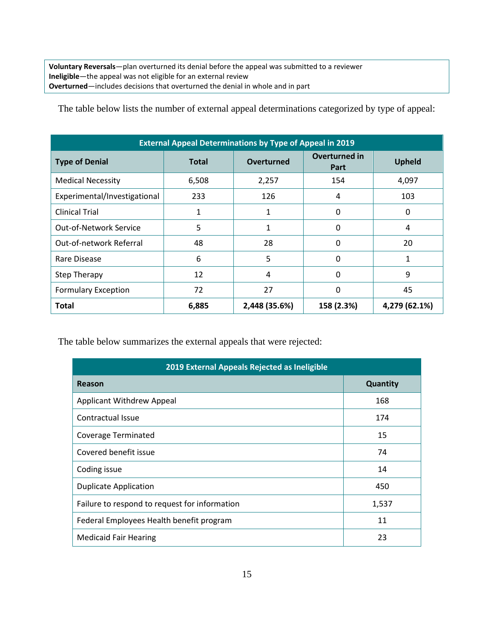**Voluntary Reversals**—plan overturned its denial before the appeal was submitted to a reviewer **Ineligible**—the appeal was not eligible for an external review **Overturned**—includes decisions that overturned the denial in whole and in part

The table below lists the number of external appeal determinations categorized by type of appeal:

| <b>External Appeal Determinations by Type of Appeal in 2019</b> |              |               |                       |               |  |  |  |  |
|-----------------------------------------------------------------|--------------|---------------|-----------------------|---------------|--|--|--|--|
| <b>Type of Denial</b>                                           | <b>Total</b> | Overturned    | Overturned in<br>Part | <b>Upheld</b> |  |  |  |  |
| <b>Medical Necessity</b>                                        | 6,508        | 2,257         | 154                   | 4,097         |  |  |  |  |
| Experimental/Investigational                                    | 233          | 126           | 4                     | 103           |  |  |  |  |
| <b>Clinical Trial</b>                                           | 1            | 1             | 0                     | 0             |  |  |  |  |
| <b>Out-of-Network Service</b>                                   | 5            | $\mathbf{1}$  | 0                     | 4             |  |  |  |  |
| Out-of-network Referral                                         | 48           | 28            | 0                     | 20            |  |  |  |  |
| Rare Disease                                                    | 6            | 5             | 0                     | 1             |  |  |  |  |
| <b>Step Therapy</b>                                             | 12           | 4             | 0                     | 9             |  |  |  |  |
| <b>Formulary Exception</b>                                      | 72           | 27            | 0                     | 45            |  |  |  |  |
| <b>Total</b>                                                    | 6,885        | 2,448 (35.6%) | 158 (2.3%)            | 4,279 (62.1%) |  |  |  |  |

The table below summarizes the external appeals that were rejected:

| 2019 External Appeals Rejected as Ineligible  |          |  |  |  |  |
|-----------------------------------------------|----------|--|--|--|--|
| Reason                                        | Quantity |  |  |  |  |
| <b>Applicant Withdrew Appeal</b>              | 168      |  |  |  |  |
| Contractual Issue                             | 174      |  |  |  |  |
| <b>Coverage Terminated</b>                    | 15       |  |  |  |  |
| Covered benefit issue                         | 74       |  |  |  |  |
| Coding issue                                  | 14       |  |  |  |  |
| <b>Duplicate Application</b>                  | 450      |  |  |  |  |
| Failure to respond to request for information | 1,537    |  |  |  |  |
| Federal Employees Health benefit program      | 11       |  |  |  |  |
| <b>Medicaid Fair Hearing</b>                  | 23       |  |  |  |  |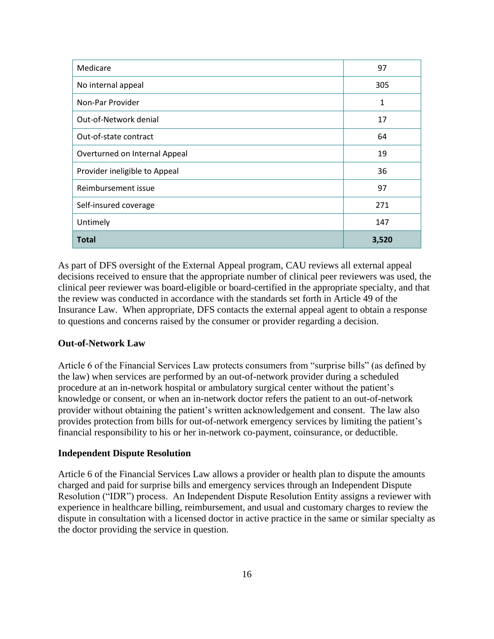| Medicare                      | 97    |
|-------------------------------|-------|
| No internal appeal            | 305   |
| Non-Par Provider              | 1     |
| Out-of-Network denial         | 17    |
| Out-of-state contract         | 64    |
| Overturned on Internal Appeal | 19    |
| Provider ineligible to Appeal | 36    |
| Reimbursement issue           | 97    |
| Self-insured coverage         | 271   |
| Untimely                      | 147   |
| <b>Total</b>                  | 3,520 |

As part of DFS oversight of the External Appeal program, CAU reviews all external appeal decisions received to ensure that the appropriate number of clinical peer reviewers was used, the clinical peer reviewer was board-eligible or board-certified in the appropriate specialty, and that the review was conducted in accordance with the standards set forth in Article 49 of the Insurance Law. When appropriate, DFS contacts the external appeal agent to obtain a response to questions and concerns raised by the consumer or provider regarding a decision.

# **Out-of-Network Law**

Article 6 of the Financial Services Law protects consumers from "surprise bills" (as defined by the law) when services are performed by an out-of-network provider during a scheduled procedure at an in-network hospital or ambulatory surgical center without the patient's knowledge or consent, or when an in-network doctor refers the patient to an out-of-network provider without obtaining the patient's written acknowledgement and consent. The law also provides protection from bills for out-of-network emergency services by limiting the patient's financial responsibility to his or her in-network co-payment, coinsurance, or deductible.

# **Independent Dispute Resolution**

Article 6 of the Financial Services Law allows a provider or health plan to dispute the amounts charged and paid for surprise bills and emergency services through an Independent Dispute Resolution ("IDR") process. An Independent Dispute Resolution Entity assigns a reviewer with experience in healthcare billing, reimbursement, and usual and customary charges to review the dispute in consultation with a licensed doctor in active practice in the same or similar specialty as the doctor providing the service in question.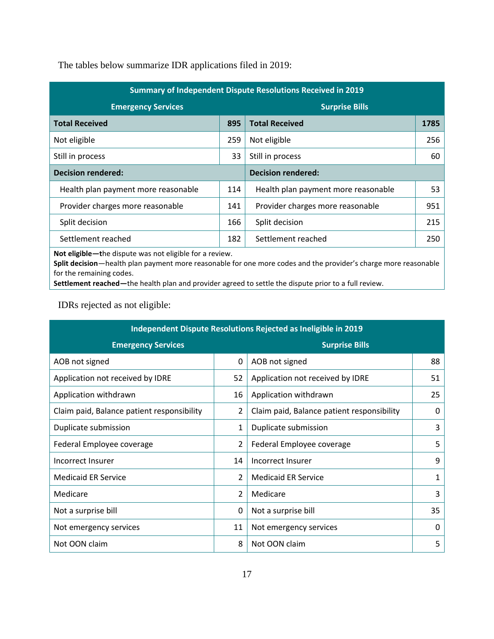The tables below summarize IDR applications filed in 2019:

| Summary of Independent Dispute Resolutions Received in 2019 |     |                                     |      |
|-------------------------------------------------------------|-----|-------------------------------------|------|
| <b>Emergency Services</b>                                   |     | <b>Surprise Bills</b>               |      |
| <b>Total Received</b>                                       | 895 | <b>Total Received</b>               | 1785 |
| Not eligible                                                | 259 | Not eligible                        | 256  |
| Still in process                                            | 33  | Still in process                    | 60   |
| <b>Decision rendered:</b>                                   |     | <b>Decision rendered:</b>           |      |
| Health plan payment more reasonable                         | 114 | Health plan payment more reasonable | 53   |
| Provider charges more reasonable                            | 141 | Provider charges more reasonable    | 951  |
| Split decision                                              | 166 | Split decision                      | 215  |
| Settlement reached                                          | 182 | Settlement reached                  | 250  |

**Not eligible—t**he dispute was not eligible for a review.

**Split decision**—health plan payment more reasonable for one more codes and the provider's charge more reasonable for the remaining codes.

**Settlement reached—**the health plan and provider agreed to settle the dispute prior to a full review.

IDRs rejected as not eligible:

| Independent Dispute Resolutions Rejected as Ineligible in 2019 |                |                                            |    |  |
|----------------------------------------------------------------|----------------|--------------------------------------------|----|--|
| <b>Emergency Services</b><br><b>Surprise Bills</b>             |                |                                            |    |  |
| AOB not signed                                                 | 0              | AOB not signed                             | 88 |  |
| Application not received by IDRE                               | 52             | Application not received by IDRE           | 51 |  |
| Application withdrawn                                          | 16             | Application withdrawn                      | 25 |  |
| Claim paid, Balance patient responsibility                     | $\overline{2}$ | Claim paid, Balance patient responsibility | 0  |  |
| Duplicate submission                                           | $\mathbf{1}$   | Duplicate submission                       | 3  |  |
| Federal Employee coverage                                      | $\overline{2}$ | Federal Employee coverage                  | 5  |  |
| Incorrect Insurer                                              | 14             | Incorrect Insurer                          | 9  |  |
| <b>Medicaid ER Service</b>                                     | $\mathcal{P}$  | <b>Medicaid ER Service</b>                 | 1  |  |
| Medicare                                                       | $\overline{2}$ | Medicare                                   | 3  |  |
| Not a surprise bill                                            | 0              | Not a surprise bill                        | 35 |  |
| Not emergency services                                         | 11             | Not emergency services                     | 0  |  |
| Not OON claim                                                  | 8              | Not OON claim                              | 5  |  |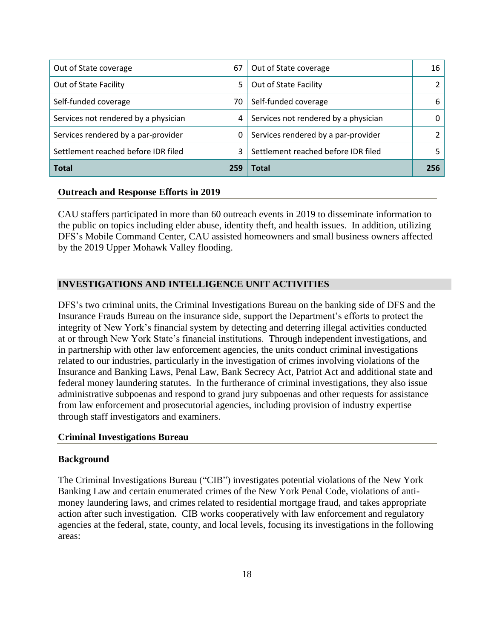| Out of State coverage                | 67  | Out of State coverage                | 16  |
|--------------------------------------|-----|--------------------------------------|-----|
| Out of State Facility                | 5   | Out of State Facility                |     |
| Self-funded coverage                 | 70  | Self-funded coverage                 | 6   |
| Services not rendered by a physician | 4   | Services not rendered by a physician |     |
| Services rendered by a par-provider  | 0   | Services rendered by a par-provider  |     |
| Settlement reached before IDR filed  | 3   | Settlement reached before IDR filed  |     |
| <b>Total</b>                         | 259 | <b>Total</b>                         | 256 |

# **Outreach and Response Efforts in 2019**

CAU staffers participated in more than 60 outreach events in 2019 to disseminate information to the public on topics including elder abuse, identity theft, and health issues. In addition, utilizing DFS's Mobile Command Center, CAU assisted homeowners and small business owners affected by the 2019 Upper Mohawk Valley flooding.

# <span id="page-18-0"></span>**INVESTIGATIONS AND INTELLIGENCE UNIT ACTIVITIES**

DFS's two criminal units, the Criminal Investigations Bureau on the banking side of DFS and the Insurance Frauds Bureau on the insurance side, support the Department's efforts to protect the integrity of New York's financial system by detecting and deterring illegal activities conducted at or through New York State's financial institutions. Through independent investigations, and in partnership with other law enforcement agencies, the units conduct criminal investigations related to our industries, particularly in the investigation of crimes involving violations of the Insurance and Banking Laws, Penal Law, Bank Secrecy Act, Patriot Act and additional state and federal money laundering statutes. In the furtherance of criminal investigations, they also issue administrative subpoenas and respond to grand jury subpoenas and other requests for assistance from law enforcement and prosecutorial agencies, including provision of industry expertise through staff investigators and examiners.

# **Criminal Investigations Bureau**

# **Background**

The Criminal Investigations Bureau ("CIB") investigates potential violations of the New York Banking Law and certain enumerated crimes of the New York Penal Code, violations of antimoney laundering laws, and crimes related to residential mortgage fraud, and takes appropriate action after such investigation. CIB works cooperatively with law enforcement and regulatory agencies at the federal, state, county, and local levels, focusing its investigations in the following areas: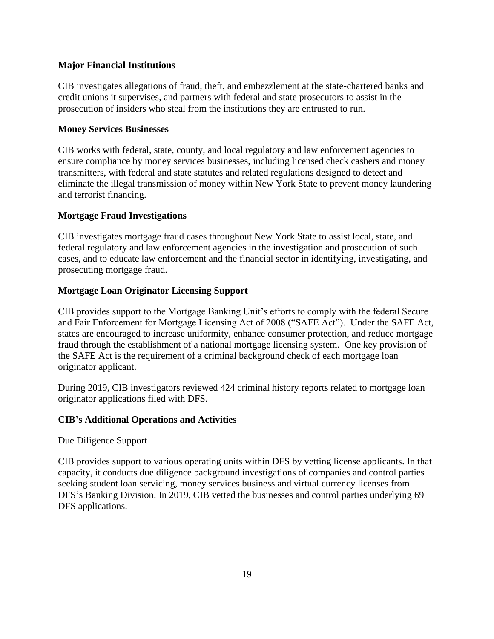# **Major Financial Institutions**

CIB investigates allegations of fraud, theft, and embezzlement at the state-chartered banks and credit unions it supervises, and partners with federal and state prosecutors to assist in the prosecution of insiders who steal from the institutions they are entrusted to run.

# **Money Services Businesses**

CIB works with federal, state, county, and local regulatory and law enforcement agencies to ensure compliance by money services businesses, including licensed check cashers and money transmitters, with federal and state statutes and related regulations designed to detect and eliminate the illegal transmission of money within New York State to prevent money laundering and terrorist financing.

# **Mortgage Fraud Investigations**

CIB investigates mortgage fraud cases throughout New York State to assist local, state, and federal regulatory and law enforcement agencies in the investigation and prosecution of such cases, and to educate law enforcement and the financial sector in identifying, investigating, and prosecuting mortgage fraud.

# **Mortgage Loan Originator Licensing Support**

CIB provides support to the Mortgage Banking Unit's efforts to comply with the federal Secure and Fair Enforcement for Mortgage Licensing Act of 2008 ("SAFE Act"). Under the SAFE Act, states are encouraged to increase uniformity, enhance consumer protection, and reduce mortgage fraud through the establishment of a national mortgage licensing system. One key provision of the SAFE Act is the requirement of a criminal background check of each mortgage loan originator applicant.

During 2019, CIB investigators reviewed 424 criminal history reports related to mortgage loan originator applications filed with DFS.

# **CIB's Additional Operations and Activities**

Due Diligence Support

CIB provides support to various operating units within DFS by vetting license applicants. In that capacity, it conducts due diligence background investigations of companies and control parties seeking student loan servicing, money services business and virtual currency licenses from DFS's Banking Division. In 2019, CIB vetted the businesses and control parties underlying 69 DFS applications.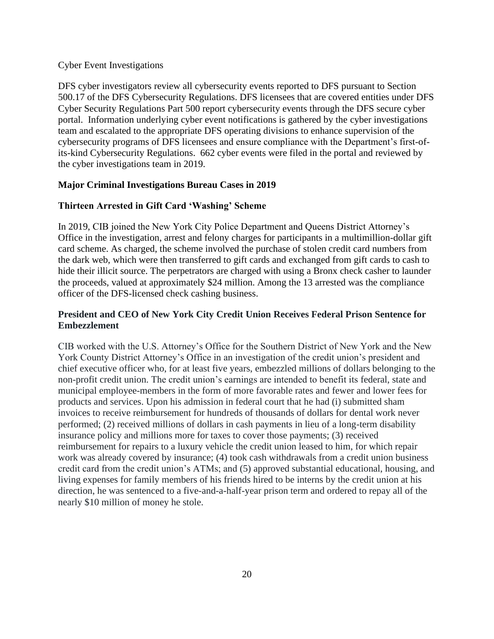# Cyber Event Investigations

DFS cyber investigators review all cybersecurity events reported to DFS pursuant to Section 500.17 of the DFS Cybersecurity Regulations. DFS licensees that are covered entities under DFS Cyber Security Regulations Part 500 report cybersecurity events through the DFS secure cyber portal. Information underlying cyber event notifications is gathered by the cyber investigations team and escalated to the appropriate DFS operating divisions to enhance supervision of the cybersecurity programs of DFS licensees and ensure compliance with the Department's first-ofits-kind Cybersecurity Regulations. 662 cyber events were filed in the portal and reviewed by the cyber investigations team in 2019.

# **Major Criminal Investigations Bureau Cases in 2019**

# **Thirteen Arrested in Gift Card 'Washing' Scheme**

In 2019, CIB joined the New York City Police Department and Queens District Attorney's Office in the investigation, arrest and felony charges for participants in a multimillion-dollar gift card scheme. As charged, the scheme involved the purchase of stolen credit card numbers from the dark web, which were then transferred to gift cards and exchanged from gift cards to cash to hide their illicit source. The perpetrators are charged with using a Bronx check casher to launder the proceeds, valued at approximately \$24 million. Among the 13 arrested was the compliance officer of the DFS-licensed check cashing business.

# **President and CEO of New York City Credit Union Receives Federal Prison Sentence for Embezzlement**

CIB worked with the U.S. Attorney's Office for the Southern District of New York and the New York County District Attorney's Office in an investigation of the credit union's president and chief executive officer who, for at least five years, embezzled millions of dollars belonging to the non-profit credit union. The credit union's earnings are intended to benefit its federal, state and municipal employee-members in the form of more favorable rates and fewer and lower fees for products and services. Upon his admission in federal court that he had (i) submitted sham invoices to receive reimbursement for hundreds of thousands of dollars for dental work never performed; (2) received millions of dollars in cash payments in lieu of a long-term disability insurance policy and millions more for taxes to cover those payments; (3) received reimbursement for repairs to a luxury vehicle the credit union leased to him, for which repair work was already covered by insurance; (4) took cash withdrawals from a credit union business credit card from the credit union's ATMs; and (5) approved substantial educational, housing, and living expenses for family members of his friends hired to be interns by the credit union at his direction, he was sentenced to a five-and-a-half-year prison term and ordered to repay all of the nearly \$10 million of money he stole.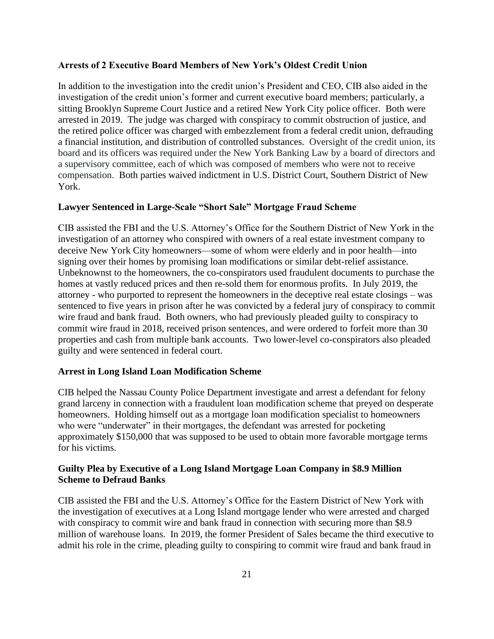## **Arrests of 2 Executive Board Members of New York's Oldest Credit Union**

In addition to the investigation into the credit union's President and CEO, CIB also aided in the investigation of the credit union's former and current executive board members; particularly, a sitting Brooklyn Supreme Court Justice and a retired New York City police officer. Both were arrested in 2019. The judge was charged with conspiracy to commit obstruction of justice, and the retired police officer was charged with embezzlement from a federal credit union, defrauding a financial institution, and distribution of controlled substances. Oversight of the credit union, its board and its officers was required under the New York Banking Law by a board of directors and a supervisory committee, each of which was composed of members who were not to receive compensation. Both parties waived indictment in U.S. District Court, Southern District of New York.

## **Lawyer Sentenced in Large-Scale "Short Sale" Mortgage Fraud Scheme**

CIB assisted the FBI and the U.S. Attorney's Office for the Southern District of New York in the investigation of an attorney who conspired with owners of a real estate investment company to deceive New York City homeowners—some of whom were elderly and in poor health—into signing over their homes by promising loan modifications or similar debt-relief assistance. Unbeknownst to the homeowners, the co-conspirators used fraudulent documents to purchase the homes at vastly reduced prices and then re-sold them for enormous profits. In July 2019, the attorney - who purported to represent the homeowners in the deceptive real estate closings – was sentenced to five years in prison after he was convicted by a federal jury of conspiracy to commit wire fraud and bank fraud. Both owners, who had previously pleaded guilty to conspiracy to commit wire fraud in 2018, received prison sentences, and were ordered to forfeit more than 30 properties and cash from multiple bank accounts. Two lower-level co-conspirators also pleaded guilty and were sentenced in federal court.

#### **Arrest in Long Island Loan Modification Scheme**

CIB helped the Nassau County Police Department investigate and arrest a defendant for felony grand larceny in connection with a fraudulent loan modification scheme that preyed on desperate homeowners. Holding himself out as a mortgage loan modification specialist to homeowners who were "underwater" in their mortgages, the defendant was arrested for pocketing approximately \$150,000 that was supposed to be used to obtain more favorable mortgage terms for his victims.

# **Guilty Plea by Executive of a Long Island Mortgage Loan Company in \$8.9 Million Scheme to Defraud Banks**

CIB assisted the FBI and the U.S. Attorney's Office for the Eastern District of New York with the investigation of executives at a Long Island mortgage lender who were arrested and charged with conspiracy to commit wire and bank fraud in connection with securing more than \$8.9 million of warehouse loans. In 2019, the former President of Sales became the third executive to admit his role in the crime, pleading guilty to conspiring to commit wire fraud and bank fraud in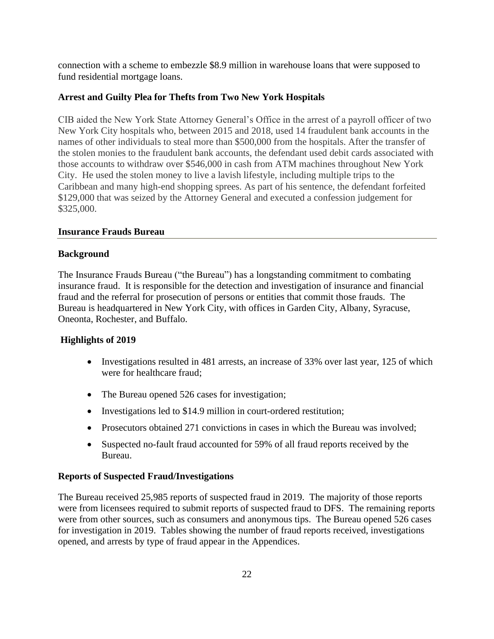connection with a scheme to embezzle \$8.9 million in warehouse loans that were supposed to fund residential mortgage loans.

#### **Arrest and Guilty Plea for Thefts from Two New York Hospitals**

CIB aided the New York State Attorney General's Office in the arrest of a payroll officer of two New York City hospitals who, between 2015 and 2018, used 14 fraudulent bank accounts in the names of other individuals to steal more than \$500,000 from the hospitals. After the transfer of the stolen monies to the fraudulent bank accounts, the defendant used debit cards associated with those accounts to withdraw over \$546,000 in cash from ATM machines throughout New York City. He used the stolen money to live a lavish lifestyle, including multiple trips to the Caribbean and many high-end shopping sprees. As part of his sentence, the defendant forfeited \$129,000 that was seized by the Attorney General and executed a confession judgement for \$325,000.

#### <span id="page-22-0"></span>**Insurance Frauds Bureau**

#### **Background**

The Insurance Frauds Bureau ("the Bureau") has a longstanding commitment to combating insurance fraud. It is responsible for the detection and investigation of insurance and financial fraud and the referral for prosecution of persons or entities that commit those frauds. The Bureau is headquartered in New York City, with offices in Garden City, Albany, Syracuse, Oneonta, Rochester, and Buffalo.

#### **Highlights of 2019**

- Investigations resulted in 481 arrests, an increase of 33% over last year, 125 of which were for healthcare fraud;
- The Bureau opened 526 cases for investigation;
- Investigations led to \$14.9 million in court-ordered restitution;
- Prosecutors obtained 271 convictions in cases in which the Bureau was involved;
- Suspected no-fault fraud accounted for 59% of all fraud reports received by the Bureau.

#### **Reports of Suspected Fraud/Investigations**

The Bureau received 25,985 reports of suspected fraud in 2019. The majority of those reports were from licensees required to submit reports of suspected fraud to DFS. The remaining reports were from other sources, such as consumers and anonymous tips. The Bureau opened 526 cases for investigation in 2019. Tables showing the number of fraud reports received, investigations opened, and arrests by type of fraud appear in the Appendices.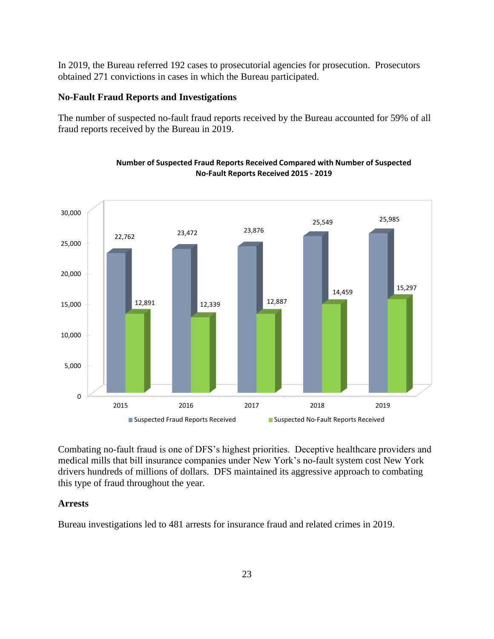In 2019, the Bureau referred 192 cases to prosecutorial agencies for prosecution. Prosecutors obtained 271 convictions in cases in which the Bureau participated.

# **No-Fault Fraud Reports and Investigations**

The number of suspected no-fault fraud reports received by the Bureau accounted for 59% of all fraud reports received by the Bureau in 2019.

![](_page_23_Figure_3.jpeg)

#### **Number of Suspected Fraud Reports Received Compared with Number of Suspected No-Fault Reports Received 2015 - 2019**

Combating no-fault fraud is one of DFS's highest priorities. Deceptive healthcare providers and medical mills that bill insurance companies under New York's no-fault system cost New York drivers hundreds of millions of dollars. DFS maintained its aggressive approach to combating this type of fraud throughout the year.

# **Arrests**

Bureau investigations led to 481 arrests for insurance fraud and related crimes in 2019.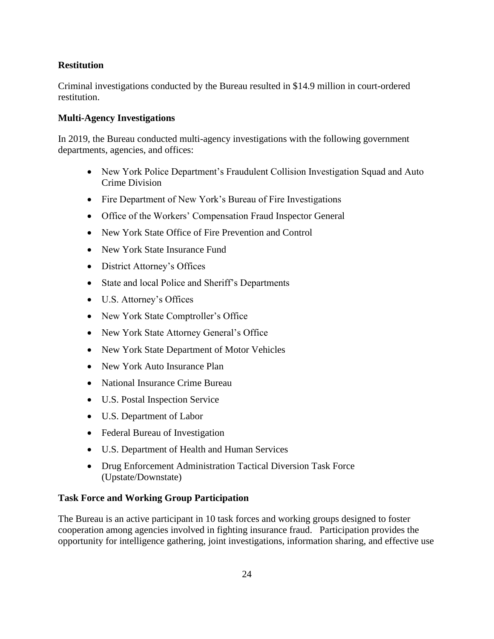# **Restitution**

Criminal investigations conducted by the Bureau resulted in \$14.9 million in court-ordered restitution.

## **Multi-Agency Investigations**

In 2019, the Bureau conducted multi-agency investigations with the following government departments, agencies, and offices:

- New York Police Department's Fraudulent Collision Investigation Squad and Auto Crime Division
- Fire Department of New York's Bureau of Fire Investigations
- Office of the Workers' Compensation Fraud Inspector General
- New York State Office of Fire Prevention and Control
- New York State Insurance Fund
- District Attorney's Offices
- State and local Police and Sheriff's Departments
- U.S. Attorney's Offices
- New York State Comptroller's Office
- New York State Attorney General's Office
- New York State Department of Motor Vehicles
- New York Auto Insurance Plan
- National Insurance Crime Bureau
- U.S. Postal Inspection Service
- U.S. Department of Labor
- Federal Bureau of Investigation
- U.S. Department of Health and Human Services
- Drug Enforcement Administration Tactical Diversion Task Force (Upstate/Downstate)

# **Task Force and Working Group Participation**

The Bureau is an active participant in 10 task forces and working groups designed to foster cooperation among agencies involved in fighting insurance fraud. Participation provides the opportunity for intelligence gathering, joint investigations, information sharing, and effective use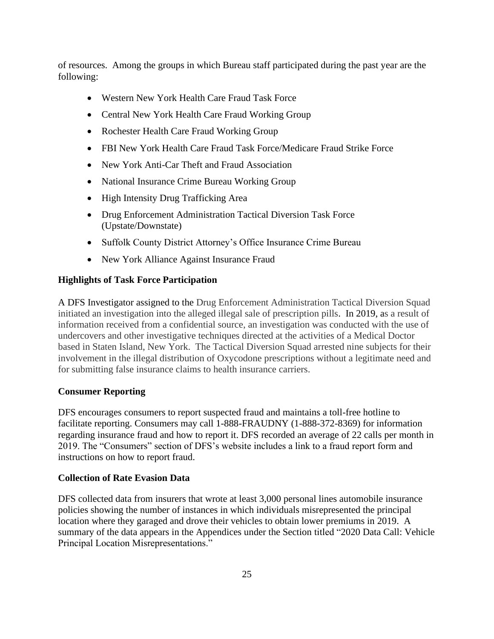of resources. Among the groups in which Bureau staff participated during the past year are the following:

- Western New York Health Care Fraud Task Force
- Central New York Health Care Fraud Working Group
- Rochester Health Care Fraud Working Group
- FBI New York Health Care Fraud Task Force/Medicare Fraud Strike Force
- New York Anti-Car Theft and Fraud Association
- National Insurance Crime Bureau Working Group
- High Intensity Drug Trafficking Area
- Drug Enforcement Administration Tactical Diversion Task Force (Upstate/Downstate)
- Suffolk County District Attorney's Office Insurance Crime Bureau
- New York Alliance Against Insurance Fraud

## **Highlights of Task Force Participation**

A DFS Investigator assigned to the Drug Enforcement Administration Tactical Diversion Squad initiated an investigation into the alleged illegal sale of prescription pills. In 2019, as a result of information received from a confidential source, an investigation was conducted with the use of undercovers and other investigative techniques directed at the activities of a Medical Doctor based in Staten Island, New York. The Tactical Diversion Squad arrested nine subjects for their involvement in the illegal distribution of Oxycodone prescriptions without a legitimate need and for submitting false insurance claims to health insurance carriers.

#### **Consumer Reporting**

DFS encourages consumers to report suspected fraud and maintains a toll-free hotline to facilitate reporting. Consumers may call 1-888-FRAUDNY (1-888-372-8369) for information regarding insurance fraud and how to report it. DFS recorded an average of 22 calls per month in 2019. The "Consumers" section of DFS's website includes a link to a fraud report form and instructions on how to report fraud.

#### **Collection of Rate Evasion Data**

DFS collected data from insurers that wrote at least 3,000 personal lines automobile insurance policies showing the number of instances in which individuals misrepresented the principal location where they garaged and drove their vehicles to obtain lower premiums in 2019. A summary of the data appears in the Appendices under the Section titled "2020 Data Call: Vehicle Principal Location Misrepresentations."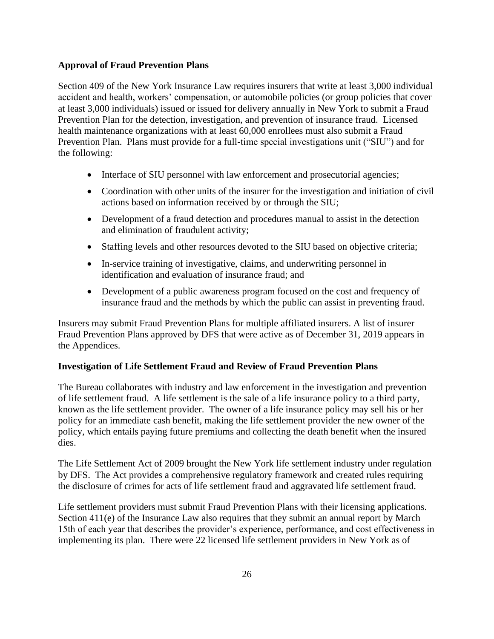# **Approval of Fraud Prevention Plans**

Section 409 of the New York Insurance Law requires insurers that write at least 3,000 individual accident and health, workers' compensation, or automobile policies (or group policies that cover at least 3,000 individuals) issued or issued for delivery annually in New York to submit a Fraud Prevention Plan for the detection, investigation, and prevention of insurance fraud. Licensed health maintenance organizations with at least 60,000 enrollees must also submit a Fraud Prevention Plan. Plans must provide for a full-time special investigations unit ("SIU") and for the following:

- Interface of SIU personnel with law enforcement and prosecutorial agencies;
- Coordination with other units of the insurer for the investigation and initiation of civil actions based on information received by or through the SIU;
- Development of a fraud detection and procedures manual to assist in the detection and elimination of fraudulent activity;
- Staffing levels and other resources devoted to the SIU based on objective criteria;
- In-service training of investigative, claims, and underwriting personnel in identification and evaluation of insurance fraud; and
- Development of a public awareness program focused on the cost and frequency of insurance fraud and the methods by which the public can assist in preventing fraud.

Insurers may submit Fraud Prevention Plans for multiple affiliated insurers. A list of insurer Fraud Prevention Plans approved by DFS that were active as of December 31, 2019 appears in the Appendices.

# **Investigation of Life Settlement Fraud and Review of Fraud Prevention Plans**

The Bureau collaborates with industry and law enforcement in the investigation and prevention of life settlement fraud. A life settlement is the sale of a life insurance policy to a third party, known as the life settlement provider. The owner of a life insurance policy may sell his or her policy for an immediate cash benefit, making the life settlement provider the new owner of the policy, which entails paying future premiums and collecting the death benefit when the insured dies.

The Life Settlement Act of 2009 brought the New York life settlement industry under regulation by DFS. The Act provides a comprehensive regulatory framework and created rules requiring the disclosure of crimes for acts of life settlement fraud and aggravated life settlement fraud.

Life settlement providers must submit Fraud Prevention Plans with their licensing applications. Section 411(e) of the Insurance Law also requires that they submit an annual report by March 15th of each year that describes the provider's experience, performance, and cost effectiveness in implementing its plan. There were 22 licensed life settlement providers in New York as of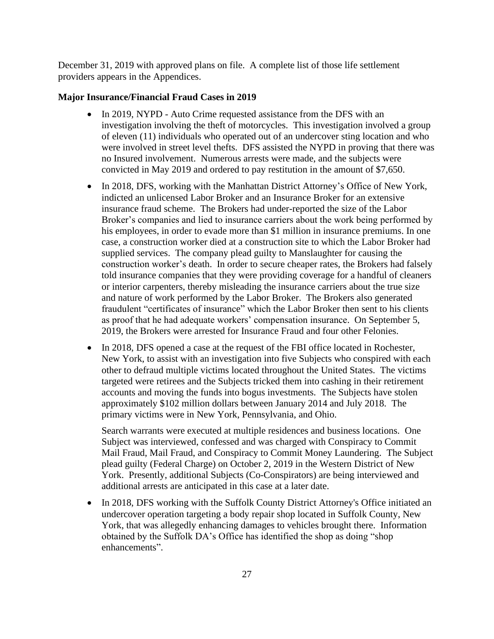December 31, 2019 with approved plans on file. A complete list of those life settlement providers appears in the Appendices.

## **Major Insurance/Financial Fraud Cases in 2019**

- In 2019, NYPD Auto Crime requested assistance from the DFS with an investigation involving the theft of motorcycles. This investigation involved a group of eleven (11) individuals who operated out of an undercover sting location and who were involved in street level thefts. DFS assisted the NYPD in proving that there was no Insured involvement. Numerous arrests were made, and the subjects were convicted in May 2019 and ordered to pay restitution in the amount of \$7,650.
- In 2018, DFS, working with the Manhattan District Attorney's Office of New York, indicted an unlicensed Labor Broker and an Insurance Broker for an extensive insurance fraud scheme. The Brokers had under-reported the size of the Labor Broker's companies and lied to insurance carriers about the work being performed by his employees, in order to evade more than \$1 million in insurance premiums. In one case, a construction worker died at a construction site to which the Labor Broker had supplied services. The company plead guilty to Manslaughter for causing the construction worker's death. In order to secure cheaper rates, the Brokers had falsely told insurance companies that they were providing coverage for a handful of cleaners or interior carpenters, thereby misleading the insurance carriers about the true size and nature of work performed by the Labor Broker. The Brokers also generated fraudulent "certificates of insurance" which the Labor Broker then sent to his clients as proof that he had adequate workers' compensation insurance. On September 5, 2019, the Brokers were arrested for Insurance Fraud and four other Felonies.
- In 2018, DFS opened a case at the request of the FBI office located in Rochester, New York, to assist with an investigation into five Subjects who conspired with each other to defraud multiple victims located throughout the United States. The victims targeted were retirees and the Subjects tricked them into cashing in their retirement accounts and moving the funds into bogus investments. The Subjects have stolen approximately \$102 million dollars between January 2014 and July 2018. The primary victims were in New York, Pennsylvania, and Ohio.

Search warrants were executed at multiple residences and business locations. One Subject was interviewed, confessed and was charged with Conspiracy to Commit Mail Fraud, Mail Fraud, and Conspiracy to Commit Money Laundering. The Subject plead guilty (Federal Charge) on October 2, 2019 in the Western District of New York. Presently, additional Subjects (Co-Conspirators) are being interviewed and additional arrests are anticipated in this case at a later date.

• In 2018, DFS working with the Suffolk County District Attorney's Office initiated an undercover operation targeting a body repair shop located in Suffolk County, New York, that was allegedly enhancing damages to vehicles brought there. Information obtained by the Suffolk DA's Office has identified the shop as doing "shop enhancements".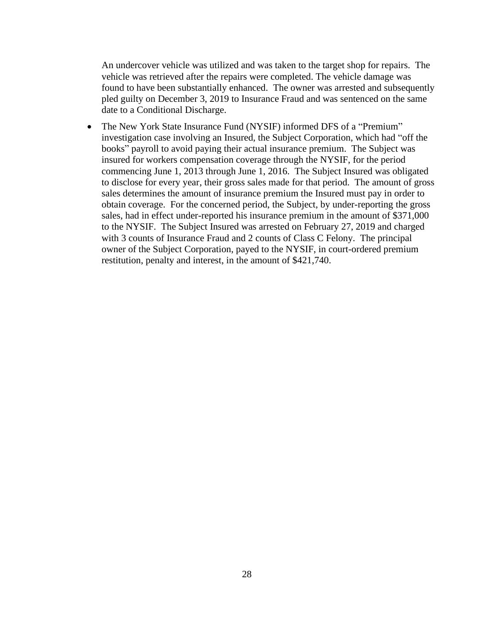An undercover vehicle was utilized and was taken to the target shop for repairs. The vehicle was retrieved after the repairs were completed. The vehicle damage was found to have been substantially enhanced. The owner was arrested and subsequently pled guilty on December 3, 2019 to Insurance Fraud and was sentenced on the same date to a Conditional Discharge.

• The New York State Insurance Fund (NYSIF) informed DFS of a "Premium" investigation case involving an Insured, the Subject Corporation, which had "off the books" payroll to avoid paying their actual insurance premium. The Subject was insured for workers compensation coverage through the NYSIF, for the period commencing June 1, 2013 through June 1, 2016. The Subject Insured was obligated to disclose for every year, their gross sales made for that period. The amount of gross sales determines the amount of insurance premium the Insured must pay in order to obtain coverage. For the concerned period, the Subject, by under-reporting the gross sales, had in effect under-reported his insurance premium in the amount of \$371,000 to the NYSIF. The Subject Insured was arrested on February 27, 2019 and charged with 3 counts of Insurance Fraud and 2 counts of Class C Felony. The principal owner of the Subject Corporation, payed to the NYSIF, in court-ordered premium restitution, penalty and interest, in the amount of \$421,740.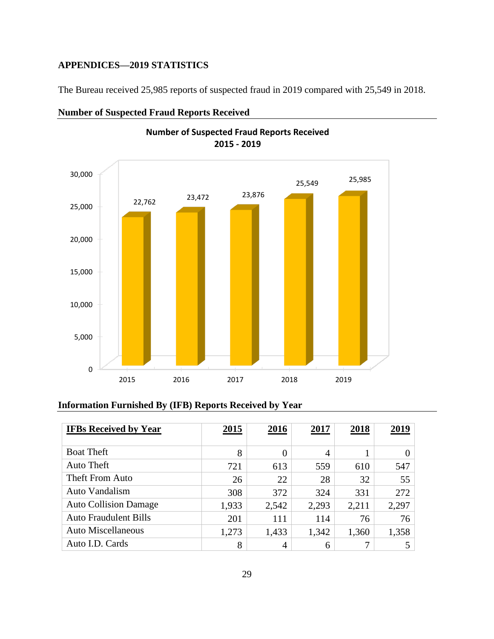# <span id="page-29-0"></span>**APPENDICES—2019 STATISTICS**

The Bureau received 25,985 reports of suspected fraud in 2019 compared with 25,549 in 2018.

![](_page_29_Figure_2.jpeg)

# **Number of Suspected Fraud Reports Received**

# **Information Furnished By (IFB) Reports Received by Year**

| <b>IFBs Received by Year</b> | 2015  | 2016     | 2017           | 2018  | 2019  |
|------------------------------|-------|----------|----------------|-------|-------|
| <b>Boat Theft</b>            | 8     | $\theta$ | $\overline{4}$ |       |       |
| Auto Theft                   | 721   | 613      | 559            | 610   | 547   |
| Theft From Auto              | 26    | 22       | 28             | 32    | 55    |
| <b>Auto Vandalism</b>        | 308   | 372      | 324            | 331   | 272   |
| <b>Auto Collision Damage</b> | 1,933 | 2,542    | 2,293          | 2,211 | 2,297 |
| <b>Auto Fraudulent Bills</b> | 201   | 111      | 114            | 76    | 76    |
| Auto Miscellaneous           | 1,273 | 1,433    | 1,342          | 1,360 | 1,358 |
| Auto I.D. Cards              | 8     | 4        | 6              | 7     | 5     |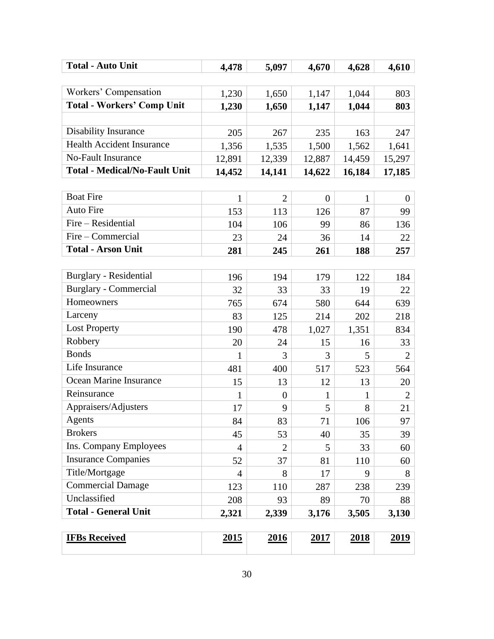| <b>Total - Auto Unit</b>             | 4,478          | 5,097          | 4,670          | 4,628        | 4,610          |
|--------------------------------------|----------------|----------------|----------------|--------------|----------------|
|                                      |                |                |                |              |                |
| Workers' Compensation                | 1,230          | 1,650          | 1,147          | 1,044        | 803            |
| <b>Total - Workers' Comp Unit</b>    | 1,230          | 1,650          | 1,147          | 1,044        | 803            |
|                                      |                |                |                |              |                |
| <b>Disability Insurance</b>          | 205            | 267            | 235            | 163          | 247            |
| <b>Health Accident Insurance</b>     | 1,356          | 1,535          | 1,500          | 1,562        | 1,641          |
| <b>No-Fault Insurance</b>            | 12,891         | 12,339         | 12,887         | 14,459       | 15,297         |
| <b>Total - Medical/No-Fault Unit</b> | 14,452         | 14,141         | 14,622         | 16,184       | 17,185         |
|                                      |                |                |                |              |                |
| <b>Boat Fire</b>                     | 1              | $\overline{2}$ | $\overline{0}$ | $\mathbf{1}$ | $\theta$       |
| <b>Auto Fire</b>                     | 153            | 113            | 126            | 87           | 99             |
| Fire – Residential                   | 104            | 106            | 99             | 86           | 136            |
| Fire – Commercial                    | 23             | 24             | 36             | 14           | 22             |
| <b>Total - Arson Unit</b>            | 281            | 245            | 261            | 188          | 257            |
|                                      |                |                |                |              |                |
| Burglary - Residential               | 196            | 194            | 179            | 122          | 184            |
| <b>Burglary - Commercial</b>         | 32             | 33             | 33             | 19           | 22             |
| Homeowners                           | 765            | 674            | 580            | 644          | 639            |
| Larceny                              | 83             | 125            | 214            | 202          | 218            |
| <b>Lost Property</b>                 | 190            | 478            | 1,027          | 1,351        | 834            |
| Robbery                              | 20             | 24             | 15             | 16           | 33             |
| <b>Bonds</b>                         | 1              | 3              | 3              | 5            | $\overline{2}$ |
| Life Insurance                       | 481            | 400            | 517            | 523          | 564            |
| Ocean Marine Insurance               | 15             | 13             | 12             | 13           | 20             |
| Reinsurance                          | 1              | $\overline{0}$ | $\mathbf{1}$   | 1            | $\overline{2}$ |
| Appraisers/Adjusters                 | 17             | 9              | 5              | 8            | 21             |
| Agents                               | 84             | 83             | 71             | 106          | 97             |
| <b>Brokers</b>                       | 45             | 53             | 40             | 35           | 39             |
| Ins. Company Employees               | $\overline{4}$ | $\overline{2}$ | 5              | 33           | 60             |
| <b>Insurance Companies</b>           | 52             | 37             | 81             | 110          | 60             |
| Title/Mortgage                       | $\overline{4}$ | 8              | 17             | 9            | 8              |
| <b>Commercial Damage</b>             | 123            | 110            | 287            | 238          | 239            |
| Unclassified                         | 208            | 93             | 89             | 70           | 88             |
| <b>Total - General Unit</b>          | 2,321          | 2,339          | 3,176          | 3,505        | 3,130          |
|                                      |                |                |                |              |                |
| <b>IFBs Received</b>                 | <u>2015</u>    | <u>2016</u>    | <b>2017</b>    | <u>2018</u>  | <u>2019</u>    |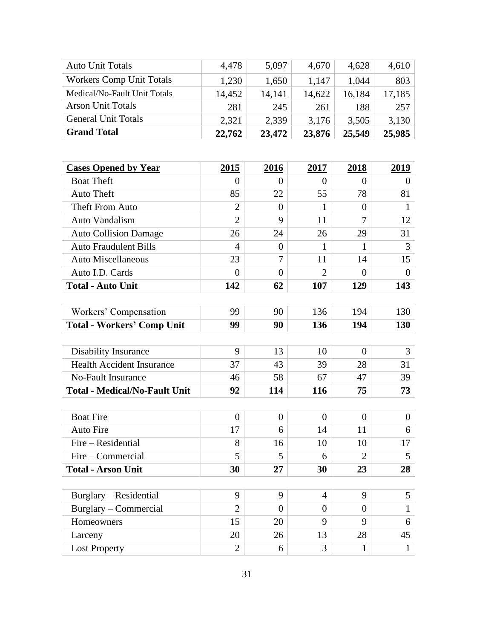| <b>Auto Unit Totals</b>              | 4,478            | 5,097            | 4,670            | 4,628            | 4,610          |
|--------------------------------------|------------------|------------------|------------------|------------------|----------------|
| <b>Workers Comp Unit Totals</b>      | 1,230            | 1,650            | 1,147            | 1,044            | 803            |
| Medical/No-Fault Unit Totals         | 14,452           | 14,141           | 14,622           | 16,184           | 17,185         |
| <b>Arson Unit Totals</b>             | 281              | 245              | 261              | 188              | 257            |
| <b>General Unit Totals</b>           | 2,321            | 2,339            | 3,176            | 3,505            | 3,130          |
| <b>Grand Total</b>                   | 22,762           | 23,472           | 23,876           | 25,549           | 25,985         |
|                                      |                  |                  |                  |                  |                |
|                                      |                  |                  |                  |                  |                |
| <b>Cases Opened by Year</b>          | 2015             | <u>2016</u>      | 2017             | 2018             | <u>2019</u>    |
| <b>Boat Theft</b>                    | $\Omega$         | $\overline{0}$   | $\overline{0}$   | $\Omega$         | $\overline{0}$ |
| <b>Auto Theft</b>                    | 85               | 22               | 55               | 78               | 81             |
| Theft From Auto                      | $\overline{2}$   | $\overline{0}$   | $\mathbf{1}$     | $\boldsymbol{0}$ | $\mathbf{1}$   |
| Auto Vandalism                       | $\overline{2}$   | 9                | 11               | $\overline{7}$   | 12             |
| <b>Auto Collision Damage</b>         | 26               | 24               | 26               | 29               | 31             |
| <b>Auto Fraudulent Bills</b>         | $\overline{4}$   | $\boldsymbol{0}$ | 1                | 1                | 3              |
| <b>Auto Miscellaneous</b>            | 23               | 7                | 11               | 14               | 15             |
| Auto I.D. Cards                      | $\overline{0}$   | $\overline{0}$   | $\overline{2}$   | $\theta$         | $\overline{0}$ |
| <b>Total - Auto Unit</b>             | 142              | 62               | 107              | 129              | 143            |
|                                      |                  |                  |                  |                  |                |
| Workers' Compensation                | 99               | 90               | 136              | 194              | 130            |
| <b>Total - Workers' Comp Unit</b>    | 99               | 90               | 136              | 194              | 130            |
|                                      |                  |                  |                  |                  |                |
| <b>Disability Insurance</b>          | 9                | 13               | 10               | $\overline{0}$   | $\overline{3}$ |
| <b>Health Accident Insurance</b>     | 37               | 43               | 39               | 28               | 31             |
| No-Fault Insurance                   | 46               | 58               | 67               | 47               | 39             |
| <b>Total - Medical/No-Fault Unit</b> | 92               | 114              | 116              | 75               | 73             |
|                                      |                  |                  |                  |                  |                |
| <b>Boat Fire</b>                     | $\boldsymbol{0}$ | $\boldsymbol{0}$ | $\boldsymbol{0}$ | $\boldsymbol{0}$ | $\overline{0}$ |
| <b>Auto Fire</b>                     | 17               | 6                | 14               | 11               | 6              |
| Fire - Residential                   | 8                | 16               | 10               | 10               | 17             |
| Fire – Commercial                    | 5                | 5                | 6                | 2                | 5              |
| <b>Total - Arson Unit</b>            | 30               | 27               | 30               | 23               | 28             |
|                                      |                  |                  |                  |                  |                |
| Burglary – Residential               | 9                | 9                | $\overline{4}$   | 9                | 5              |
| Burglary – Commercial                | $\overline{2}$   | $\overline{0}$   | $\theta$         | $\boldsymbol{0}$ | $\mathbf{1}$   |
| Homeowners                           | 15               | 20               | 9                | 9                | 6              |
| Larceny                              | 20               | 26               | 13               | 28               | 45             |
| <b>Lost Property</b>                 | $\overline{2}$   | 6                | 3                | 1                | $\mathbf{1}$   |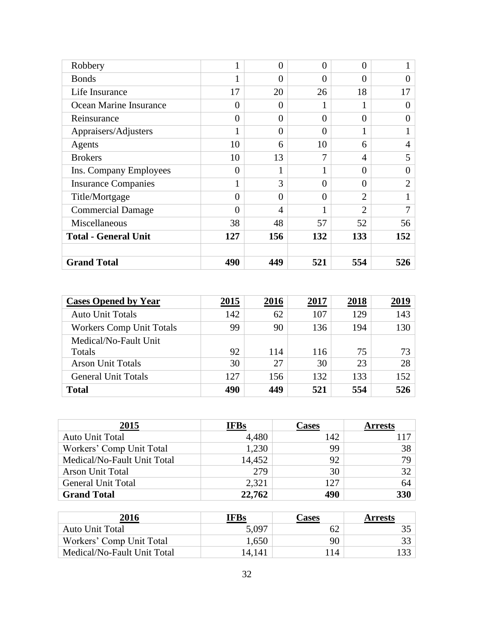| Robbery                     |          | 0              | $\Omega$ | $\theta$       |                |
|-----------------------------|----------|----------------|----------|----------------|----------------|
| <b>Bonds</b>                |          | $\theta$       | $\Omega$ | $\theta$       | 0              |
| Life Insurance              | 17       | 20             | 26       | 18             | 17             |
| Ocean Marine Insurance      | $\Omega$ | $\theta$       |          |                | 0              |
| Reinsurance                 | $\theta$ | $\overline{0}$ | $\Omega$ | $\overline{0}$ | 0              |
| Appraisers/Adjusters        |          | $\theta$       | $\Omega$ |                |                |
| Agents                      | 10       | 6              | 10       | 6              | $\overline{4}$ |
| <b>Brokers</b>              | 10       | 13             | 7        | $\overline{4}$ | 5              |
| Ins. Company Employees      | $\theta$ | 1              |          | $\overline{0}$ |                |
| <b>Insurance Companies</b>  |          | 3              | $\theta$ | $\theta$       | $\overline{2}$ |
| Title/Mortgage              | $\Omega$ | $\overline{0}$ | $\Omega$ | $\overline{2}$ |                |
| <b>Commercial Damage</b>    | 0        | 4              |          | $\overline{2}$ | 7              |
| Miscellaneous               | 38       | 48             | 57       | 52             | 56             |
| <b>Total - General Unit</b> | 127      | 156            | 132      | 133            | 152            |
|                             |          |                |          |                |                |
| <b>Grand Total</b>          | 490      | 449            | 521      | 554            | 526            |

| <b>Cases Opened by Year</b>     | 2015 | 2016 | 2017 | 2018 | 2019 |
|---------------------------------|------|------|------|------|------|
| <b>Auto Unit Totals</b>         | 142  | 62   | 107  | 129  | 143  |
| <b>Workers Comp Unit Totals</b> | 99   | 90   | 136  | 194  | 130  |
| Medical/No-Fault Unit           |      |      |      |      |      |
| Totals                          | 92   | 114  | 116  | 75   | 73   |
| <b>Arson Unit Totals</b>        | 30   | 27   | 30   | 23   | 28   |
| <b>General Unit Totals</b>      | 127  | 156  | 132  | 133  | 152  |
| <b>Total</b>                    | 490  | 449  | 521  | 554  | 526  |

| 2015                        | <b>IFBs</b> | Cases | <b>Arrests</b> |
|-----------------------------|-------------|-------|----------------|
| <b>Auto Unit Total</b>      | 4,480       | 142   |                |
| Workers' Comp Unit Total    | 1,230       | 99    | 38             |
| Medical/No-Fault Unit Total | 14,452      | 92    | 79             |
| <b>Arson Unit Total</b>     | 279         | 30    | 32             |
| <b>General Unit Total</b>   | 2,321       | 127   | 64             |
| <b>Grand Total</b>          | 22,762      | 490   | 330            |

| 2016                        | IFBs   | <b>Cases</b> | <b>Arrests</b> |
|-----------------------------|--------|--------------|----------------|
| <b>Auto Unit Total</b>      | 5.097  | 62           |                |
| Workers' Comp Unit Total    | 1,650  | 90           |                |
| Medical/No-Fault Unit Total | 14,141 | 14           |                |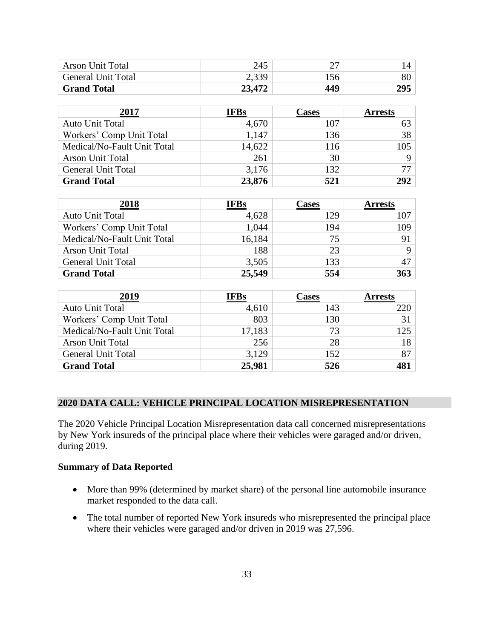| <b>Arson Unit Total</b>   | 245    | רי  |     |
|---------------------------|--------|-----|-----|
| <b>General Unit Total</b> | 2,339  | 156 | 80  |
| <b>Grand Total</b>        | 23,472 | 449 | 295 |

| 2017                        | <b>IFBs</b> | Cases | <b>Arrests</b> |
|-----------------------------|-------------|-------|----------------|
| Auto Unit Total             | 4,670       | 107   |                |
| Workers' Comp Unit Total    | 1,147       | 136   | 38             |
| Medical/No-Fault Unit Total | 14,622      | 116   | 105            |
| <b>Arson Unit Total</b>     | 261         | 30    |                |
| <b>General Unit Total</b>   | 3,176       | 132   |                |
| <b>Grand Total</b>          | 23,876      | 521   | 292            |

| 2018                        | <b>IFBs</b> | Cases | <b>Arrests</b> |
|-----------------------------|-------------|-------|----------------|
| Auto Unit Total             | 4,628       | 129   |                |
| Workers' Comp Unit Total    | 1,044       | 194   | 109            |
| Medical/No-Fault Unit Total | 16,184      | 75    | 91             |
| <b>Arson Unit Total</b>     | 188         | 23    |                |
| <b>General Unit Total</b>   | 3,505       | 133   | 47             |
| <b>Grand Total</b>          | 25,549      | 554   | 363            |

| 2019                        | <b>IFBs</b> | Cases | <b>Arrests</b> |
|-----------------------------|-------------|-------|----------------|
| <b>Auto Unit Total</b>      | 4,610       | 143   | 220            |
| Workers' Comp Unit Total    | 803         | 130   | 31             |
| Medical/No-Fault Unit Total | 17,183      | 73    | 125            |
| <b>Arson Unit Total</b>     | 256         | 28    | 18             |
| <b>General Unit Total</b>   | 3,129       | 152   | 87             |
| <b>Grand Total</b>          | 25,981      | 526   | 481            |

# <span id="page-33-0"></span>**2020 DATA CALL: VEHICLE PRINCIPAL LOCATION MISREPRESENTATION**

The 2020 Vehicle Principal Location Misrepresentation data call concerned misrepresentations by New York insureds of the principal place where their vehicles were garaged and/or driven, during 2019.

# **Summary of Data Reported**

- More than 99% (determined by market share) of the personal line automobile insurance market responded to the data call.
- The total number of reported New York insureds who misrepresented the principal place where their vehicles were garaged and/or driven in 2019 was 27,596.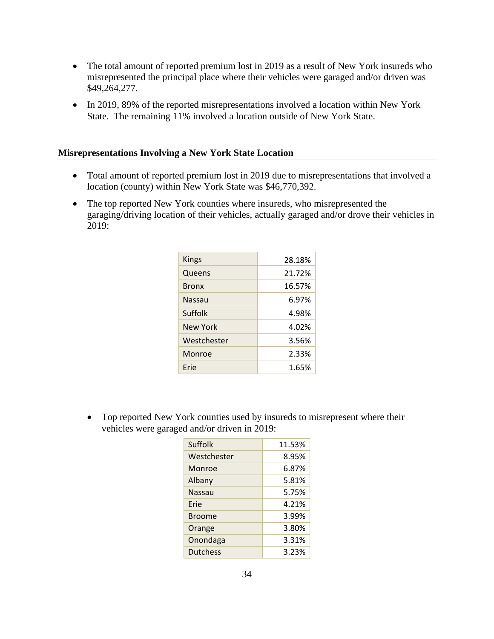- The total amount of reported premium lost in 2019 as a result of New York insureds who misrepresented the principal place where their vehicles were garaged and/or driven was \$49,264,277.
- In 2019, 89% of the reported misrepresentations involved a location within New York State. The remaining 11% involved a location outside of New York State.

# **Misrepresentations Involving a New York State Location**

- Total amount of reported premium lost in 2019 due to misrepresentations that involved a location (county) within New York State was \$46,770,392.
- The top reported New York counties where insureds, who misrepresented the garaging/driving location of their vehicles, actually garaged and/or drove their vehicles in 2019:

| Kings        | 28.18% |
|--------------|--------|
| Queens       | 21.72% |
| <b>Bronx</b> | 16.57% |
| Nassau       | 6.97%  |
| Suffolk      | 4.98%  |
| New York     | 4.02%  |
| Westchester  | 3.56%  |
| Monroe       | 2.33%  |
| Erie         | 1.65%  |
|              |        |

• Top reported New York counties used by insureds to misrepresent where their vehicles were garaged and/or driven in 2019:

| Suffolk         | 11.53% |
|-----------------|--------|
| Westchester     | 8.95%  |
| Monroe          | 6.87%  |
| Albany          | 5.81%  |
| Nassau          | 5.75%  |
| Erie            | 4.21%  |
| <b>Broome</b>   | 3.99%  |
| Orange          | 3.80%  |
| Onondaga        | 3.31%  |
| <b>Dutchess</b> | 3.23%  |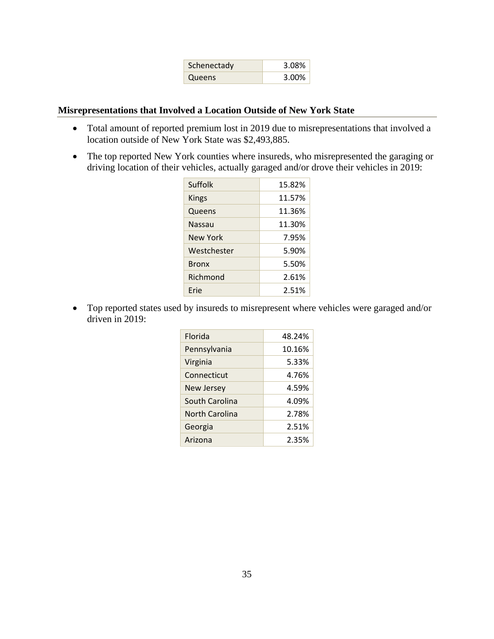| Schenectady | 3.08% |
|-------------|-------|
| Queens      | 3.00% |

# **Misrepresentations that Involved a Location Outside of New York State**

- Total amount of reported premium lost in 2019 due to misrepresentations that involved a location outside of New York State was \$2,493,885.
- The top reported New York counties where insureds, who misrepresented the garaging or driving location of their vehicles, actually garaged and/or drove their vehicles in 2019:

| Suffolk      | 15.82% |
|--------------|--------|
| Kings        | 11.57% |
| Queens       | 11.36% |
| Nassau       | 11.30% |
| New York     | 7.95%  |
| Westchester  | 5.90%  |
| <b>Bronx</b> | 5.50%  |
| Richmond     | 2.61%  |
| Erie         | 2.51%  |

• Top reported states used by insureds to misrepresent where vehicles were garaged and/or driven in 2019:

| Florida        | 48.24% |
|----------------|--------|
| Pennsylvania   | 10.16% |
| Virginia       | 5.33%  |
| Connecticut    | 4.76%  |
| New Jersey     | 4.59%  |
| South Carolina | 4.09%  |
| North Carolina | 2.78%  |
| Georgia        | 2.51%  |
| Arizona        | 2.35%  |
|                |        |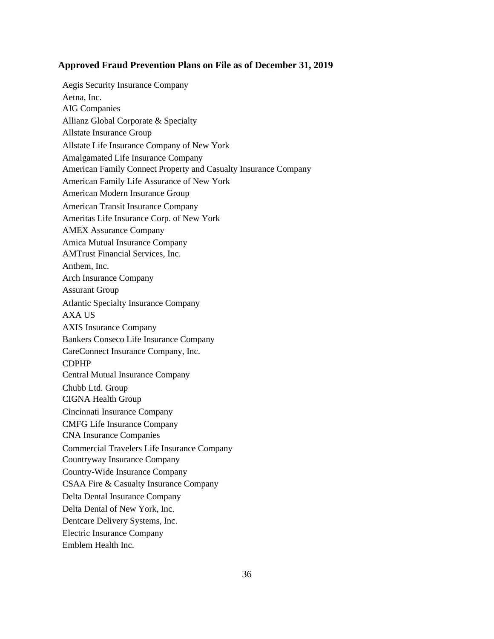#### **Approved Fraud Prevention Plans on File as of December 31, 2019**

Aegis Security Insurance Company Aetna, Inc. AIG Companies Allianz Global Corporate & Specialty Allstate Insurance Group Allstate Life Insurance Company of New York Amalgamated Life Insurance Company American Family Connect Property and Casualty Insurance Company American Family Life Assurance of New York American Modern Insurance Group American Transit Insurance Company Ameritas Life Insurance Corp. of New York AMEX Assurance Company Amica Mutual Insurance Company AMTrust Financial Services, Inc. Anthem, Inc. Arch Insurance Company Assurant Group Atlantic Specialty Insurance Company AXA US AXIS Insurance Company Bankers Conseco Life Insurance Company CareConnect Insurance Company, Inc. CDPHP Central Mutual Insurance Company Chubb Ltd. Group CIGNA Health Group Cincinnati Insurance Company CMFG Life Insurance Company CNA Insurance Companies Commercial Travelers Life Insurance Company Countryway Insurance Company Country-Wide Insurance Company CSAA Fire & Casualty Insurance Company Delta Dental Insurance Company Delta Dental of New York, Inc. Dentcare Delivery Systems, Inc. Electric Insurance Company Emblem Health Inc.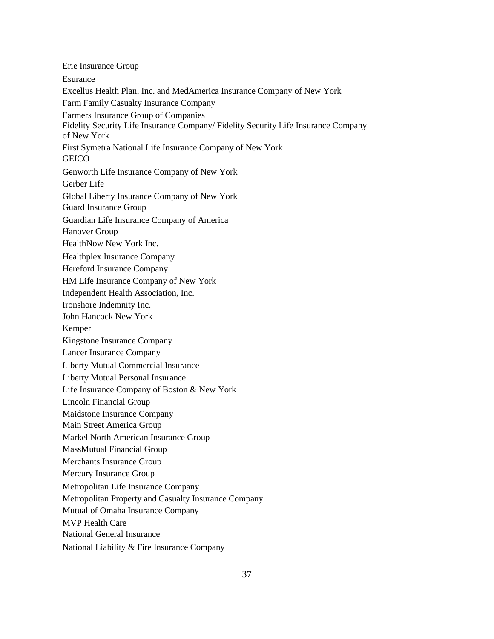Erie Insurance Group Esurance Excellus Health Plan, Inc. and MedAmerica Insurance Company of New York Farm Family Casualty Insurance Company Farmers Insurance Group of Companies Fidelity Security Life Insurance Company/ Fidelity Security Life Insurance Company of New York First Symetra National Life Insurance Company of New York **GEICO** Genworth Life Insurance Company of New York Gerber Life Global Liberty Insurance Company of New York Guard Insurance Group Guardian Life Insurance Company of America Hanover Group HealthNow New York Inc. Healthplex Insurance Company Hereford Insurance Company HM Life Insurance Company of New York Independent Health Association, Inc. Ironshore Indemnity Inc. John Hancock New York Kemper Kingstone Insurance Company Lancer Insurance Company Liberty Mutual Commercial Insurance Liberty Mutual Personal Insurance Life Insurance Company of Boston & New York Lincoln Financial Group Maidstone Insurance Company Main Street America Group Markel North American Insurance Group MassMutual Financial Group Merchants Insurance Group Mercury Insurance Group Metropolitan Life Insurance Company Metropolitan Property and Casualty Insurance Company Mutual of Omaha Insurance Company MVP Health Care National General Insurance

National Liability & Fire Insurance Company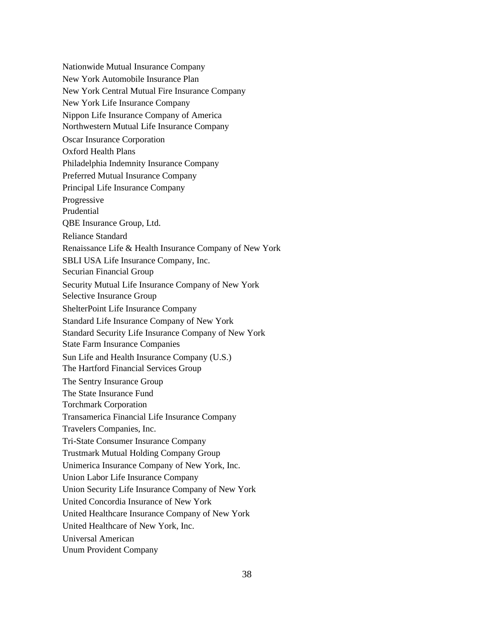Nationwide Mutual Insurance Company New York Automobile Insurance Plan New York Central Mutual Fire Insurance Company New York Life Insurance Company Nippon Life Insurance Company of America Northwestern Mutual Life Insurance Company Oscar Insurance Corporation Oxford Health Plans Philadelphia Indemnity Insurance Company Preferred Mutual Insurance Company Principal Life Insurance Company Progressive Prudential QBE Insurance Group, Ltd. Reliance Standard Renaissance Life & Health Insurance Company of New York SBLI USA Life Insurance Company, Inc. Securian Financial Group Security Mutual Life Insurance Company of New York Selective Insurance Group ShelterPoint Life Insurance Company Standard Life Insurance Company of New York Standard Security Life Insurance Company of New York State Farm Insurance Companies Sun Life and Health Insurance Company (U.S.) The Hartford Financial Services Group The Sentry Insurance Group The State Insurance Fund Torchmark Corporation Transamerica Financial Life Insurance Company Travelers Companies, Inc. Tri-State Consumer Insurance Company Trustmark Mutual Holding Company Group Unimerica Insurance Company of New York, Inc. Union Labor Life Insurance Company Union Security Life Insurance Company of New York United Concordia Insurance of New York United Healthcare Insurance Company of New York United Healthcare of New York, Inc. Universal American Unum Provident Company